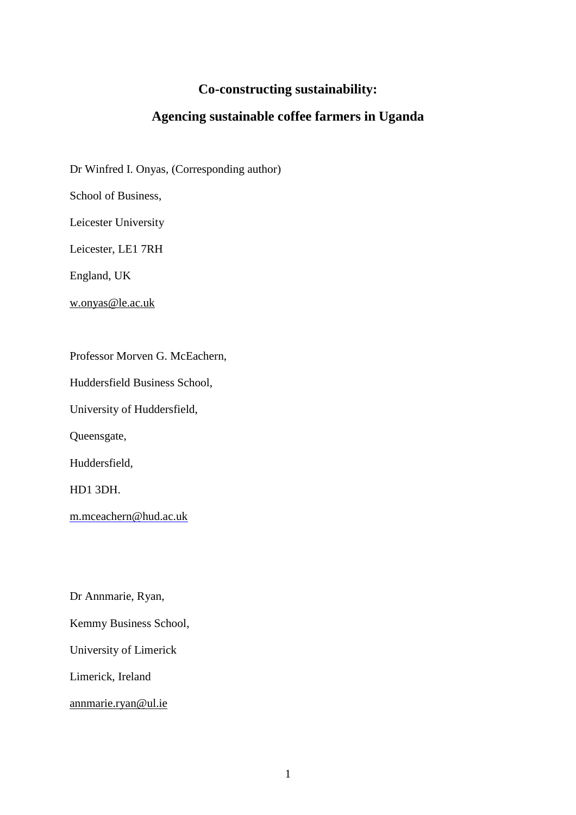# **Co-constructing sustainability:**

# **Agencing sustainable coffee farmers in Uganda**

Dr Winfred I. Onyas, (Corresponding author)

School of Business,

Leicester University

Leicester, LE1 7RH

England, UK

[w.onyas@le.ac.uk](mailto:w.onyas@le.ac.uk)

Professor Morven G. McEachern,

Huddersfield Business School,

University of Huddersfield,

Queensgate,

Huddersfield,

HD1 3DH.

[m.mceachern@hud.ac.uk](mailto:m.mceachern@hud.ac.uk)

Dr Annmarie, Ryan,

Kemmy Business School,

University of Limerick

Limerick, Ireland

[annmarie.ryan@ul.ie](mailto:annmarie.ryan@ul.ie)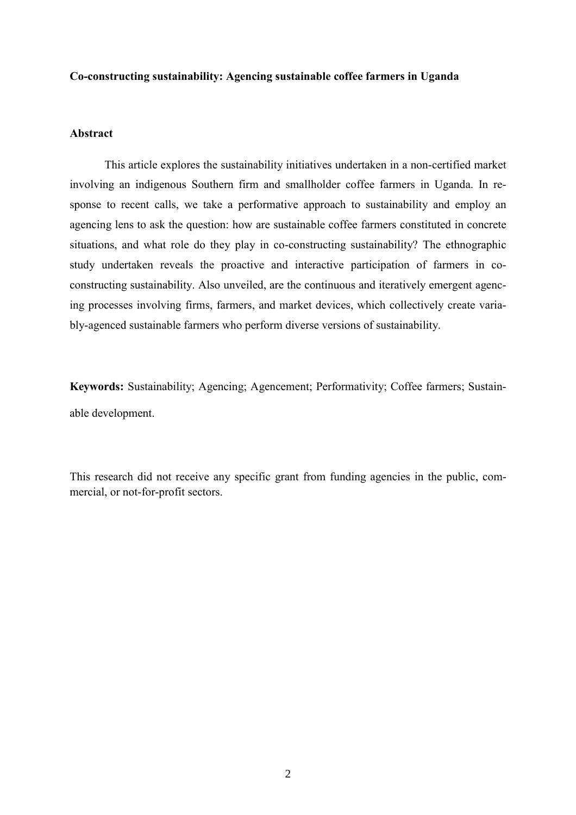### **Co-constructing sustainability: Agencing sustainable coffee farmers in Uganda**

# **Abstract**

This article explores the sustainability initiatives undertaken in a non-certified market involving an indigenous Southern firm and smallholder coffee farmers in Uganda. In response to recent calls, we take a performative approach to sustainability and employ an agencing lens to ask the question: how are sustainable coffee farmers constituted in concrete situations, and what role do they play in co-constructing sustainability? The ethnographic study undertaken reveals the proactive and interactive participation of farmers in coconstructing sustainability. Also unveiled, are the continuous and iteratively emergent agencing processes involving firms, farmers, and market devices, which collectively create variably-agenced sustainable farmers who perform diverse versions of sustainability.

**Keywords:** Sustainability; Agencing; Agencement; Performativity; Coffee farmers; Sustainable development.

This research did not receive any specific grant from funding agencies in the public, commercial, or not-for-profit sectors.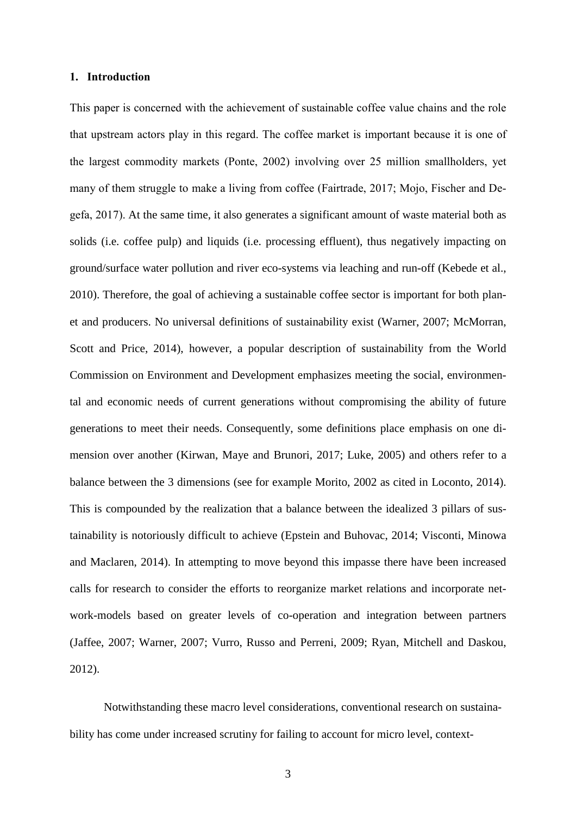### **1. Introduction**

This paper is concerned with the achievement of sustainable coffee value chains and the role that upstream actors play in this regard. The coffee market is important because it is one of the largest commodity markets (Ponte, 2002) involving over 25 million smallholders, yet many of them struggle to make a living from coffee (Fairtrade, 2017; Mojo, Fischer and Degefa, 2017). At the same time, it also generates a significant amount of waste material both as solids (i.e. coffee pulp) and liquids (i.e. processing effluent), thus negatively impacting on ground/surface water pollution and river eco-systems via leaching and run-off (Kebede et al., 2010). Therefore, the goal of achieving a sustainable coffee sector is important for both planet and producers. No universal definitions of sustainability exist (Warner, 2007; McMorran, Scott and Price, 2014), however, a popular description of sustainability from the World Commission on Environment and Development emphasizes meeting the social, environmental and economic needs of current generations without compromising the ability of future generations to meet their needs. Consequently, some definitions place emphasis on one dimension over another (Kirwan, Maye and Brunori, 2017; Luke, 2005) and others refer to a balance between the 3 dimensions (see for example Morito, 2002 as cited in Loconto, 2014). This is compounded by the realization that a balance between the idealized 3 pillars of sustainability is notoriously difficult to achieve (Epstein and Buhovac, 2014; Visconti, Minowa and Maclaren, 2014). In attempting to move beyond this impasse there have been increased calls for research to consider the efforts to reorganize market relations and incorporate network-models based on greater levels of co-operation and integration between partners (Jaffee, 2007; Warner, 2007; Vurro, Russo and Perreni, 2009; Ryan, Mitchell and Daskou, 2012).

Notwithstanding these macro level considerations, conventional research on sustainability has come under increased scrutiny for failing to account for micro level, context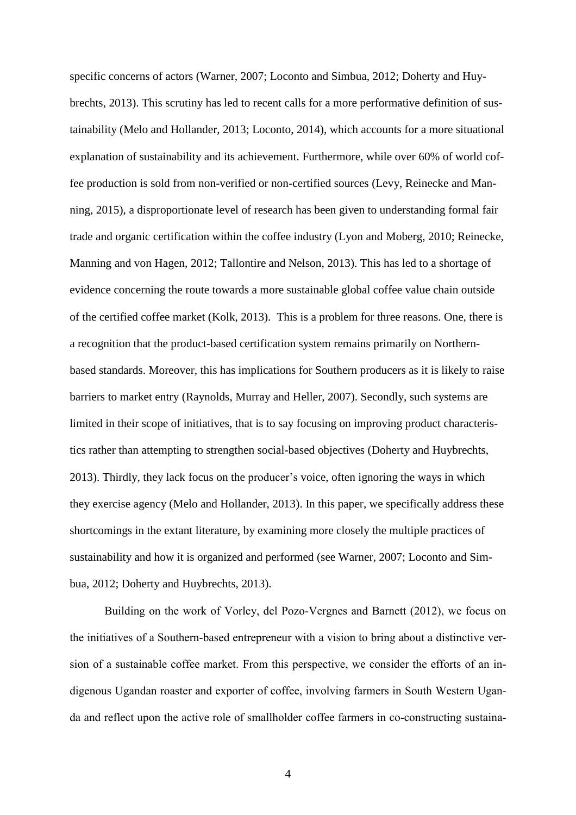specific concerns of actors (Warner, 2007; Loconto and Simbua, 2012; Doherty and Huybrechts, 2013). This scrutiny has led to recent calls for a more performative definition of sustainability (Melo and Hollander, 2013; Loconto, 2014), which accounts for a more situational explanation of sustainability and its achievement. Furthermore, while over 60% of world coffee production is sold from non-verified or non-certified sources (Levy, Reinecke and Manning, 2015), a disproportionate level of research has been given to understanding formal fair trade and organic certification within the coffee industry (Lyon and Moberg, 2010; Reinecke, Manning and von Hagen, 2012; Tallontire and Nelson, 2013). This has led to a shortage of evidence concerning the route towards a more sustainable global coffee value chain outside of the certified coffee market (Kolk, 2013). This is a problem for three reasons. One, there is a recognition that the product-based certification system remains primarily on Northernbased standards. Moreover, this has implications for Southern producers as it is likely to raise barriers to market entry (Raynolds, Murray and Heller, 2007). Secondly, such systems are limited in their scope of initiatives, that is to say focusing on improving product characteristics rather than attempting to strengthen social-based objectives (Doherty and Huybrechts, 2013). Thirdly, they lack focus on the producer's voice, often ignoring the ways in which they exercise agency (Melo and Hollander, 2013). In this paper, we specifically address these shortcomings in the extant literature, by examining more closely the multiple practices of sustainability and how it is organized and performed (see Warner, 2007; Loconto and Simbua, 2012; Doherty and Huybrechts, 2013).

Building on the work of Vorley, del Pozo-Vergnes and Barnett (2012), we focus on the initiatives of a Southern-based entrepreneur with a vision to bring about a distinctive version of a sustainable coffee market. From this perspective, we consider the efforts of an indigenous Ugandan roaster and exporter of coffee, involving farmers in South Western Uganda and reflect upon the active role of smallholder coffee farmers in co-constructing sustaina-

4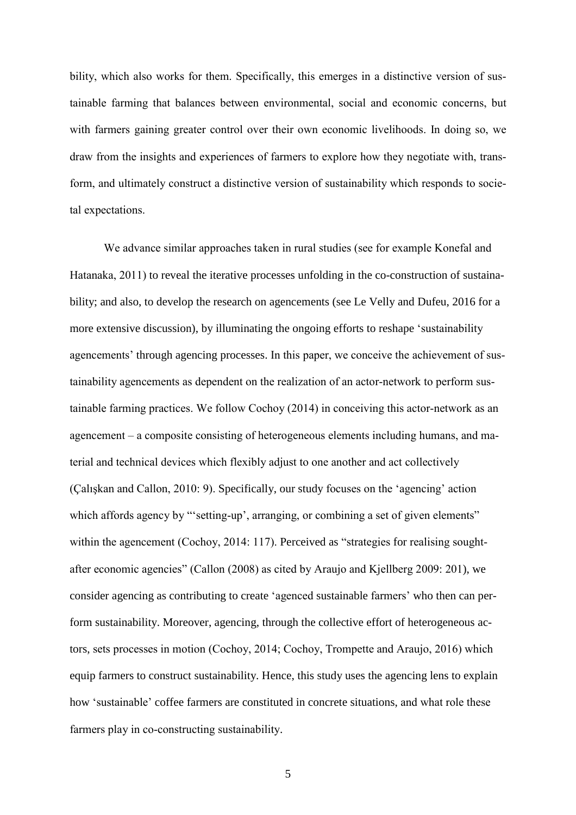bility, which also works for them. Specifically, this emerges in a distinctive version of sustainable farming that balances between environmental, social and economic concerns, but with farmers gaining greater control over their own economic livelihoods. In doing so, we draw from the insights and experiences of farmers to explore how they negotiate with, transform, and ultimately construct a distinctive version of sustainability which responds to societal expectations.

We advance similar approaches taken in rural studies (see for example Konefal and Hatanaka, 2011) to reveal the iterative processes unfolding in the co-construction of sustainability; and also, to develop the research on agencements (see Le Velly and Dufeu, 2016 for a more extensive discussion), by illuminating the ongoing efforts to reshape 'sustainability agencements' through agencing processes. In this paper, we conceive the achievement of sustainability agencements as dependent on the realization of an actor-network to perform sustainable farming practices. We follow Cochoy (2014) in conceiving this actor-network as an agencement – a composite consisting of heterogeneous elements including humans, and material and technical devices which flexibly adjust to one another and act collectively (Çalışkan and Callon, 2010: 9). Specifically, our study focuses on the 'agencing' action which affords agency by "'setting-up', arranging, or combining a set of given elements" within the agencement (Cochoy, 2014: 117). Perceived as "strategies for realising soughtafter economic agencies" (Callon (2008) as cited by Araujo and Kjellberg 2009: 201), we consider agencing as contributing to create 'agenced sustainable farmers' who then can perform sustainability. Moreover, agencing, through the collective effort of heterogeneous actors, sets processes in motion (Cochoy, 2014; Cochoy, Trompette and Araujo, 2016) which equip farmers to construct sustainability. Hence, this study uses the agencing lens to explain how 'sustainable' coffee farmers are constituted in concrete situations, and what role these farmers play in co-constructing sustainability.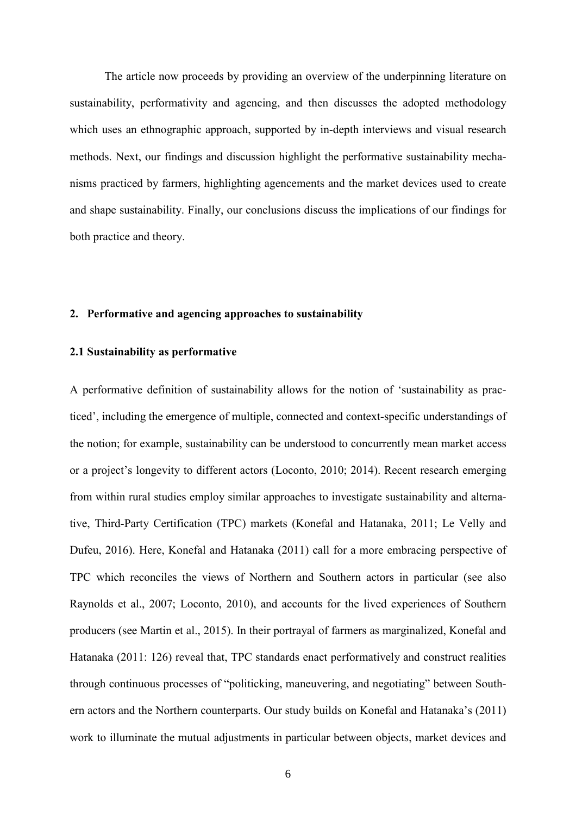The article now proceeds by providing an overview of the underpinning literature on sustainability, performativity and agencing, and then discusses the adopted methodology which uses an ethnographic approach, supported by in-depth interviews and visual research methods. Next, our findings and discussion highlight the performative sustainability mechanisms practiced by farmers, highlighting agencements and the market devices used to create and shape sustainability. Finally, our conclusions discuss the implications of our findings for both practice and theory.

# **2. Performative and agencing approaches to sustainability**

### **2.1 Sustainability as performative**

A performative definition of sustainability allows for the notion of 'sustainability as practiced', including the emergence of multiple, connected and context-specific understandings of the notion; for example, sustainability can be understood to concurrently mean market access or a project's longevity to different actors (Loconto, 2010; 2014). Recent research emerging from within rural studies employ similar approaches to investigate sustainability and alternative, Third-Party Certification (TPC) markets (Konefal and Hatanaka, 2011; Le Velly and Dufeu, 2016). Here, Konefal and Hatanaka (2011) call for a more embracing perspective of TPC which reconciles the views of Northern and Southern actors in particular (see also Raynolds et al., 2007; Loconto, 2010), and accounts for the lived experiences of Southern producers (see Martin et al., 2015). In their portrayal of farmers as marginalized, Konefal and Hatanaka (2011: 126) reveal that, TPC standards enact performatively and construct realities through continuous processes of "politicking, maneuvering, and negotiating" between Southern actors and the Northern counterparts. Our study builds on Konefal and Hatanaka's (2011) work to illuminate the mutual adjustments in particular between objects, market devices and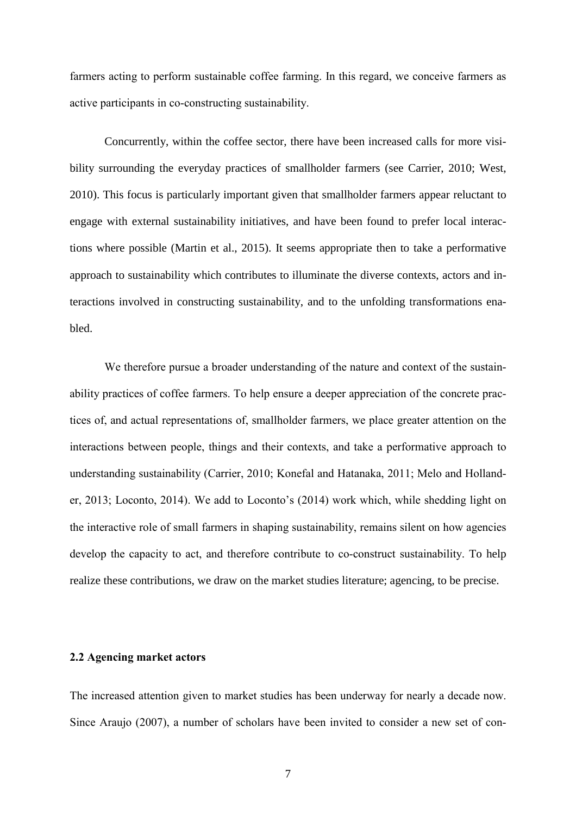farmers acting to perform sustainable coffee farming. In this regard, we conceive farmers as active participants in co-constructing sustainability.

Concurrently, within the coffee sector, there have been increased calls for more visibility surrounding the everyday practices of smallholder farmers (see Carrier, 2010; West, 2010). This focus is particularly important given that smallholder farmers appear reluctant to engage with external sustainability initiatives, and have been found to prefer local interactions where possible (Martin et al., 2015). It seems appropriate then to take a performative approach to sustainability which contributes to illuminate the diverse contexts, actors and interactions involved in constructing sustainability, and to the unfolding transformations enabled.

We therefore pursue a broader understanding of the nature and context of the sustainability practices of coffee farmers. To help ensure a deeper appreciation of the concrete practices of, and actual representations of, smallholder farmers, we place greater attention on the interactions between people, things and their contexts, and take a performative approach to understanding sustainability (Carrier, 2010; Konefal and Hatanaka, 2011; Melo and Hollander, 2013; Loconto, 2014). We add to Loconto's (2014) work which, while shedding light on the interactive role of small farmers in shaping sustainability, remains silent on how agencies develop the capacity to act, and therefore contribute to co-construct sustainability. To help realize these contributions, we draw on the market studies literature; agencing, to be precise.

### **2.2 Agencing market actors**

The increased attention given to market studies has been underway for nearly a decade now. Since Araujo (2007), a number of scholars have been invited to consider a new set of con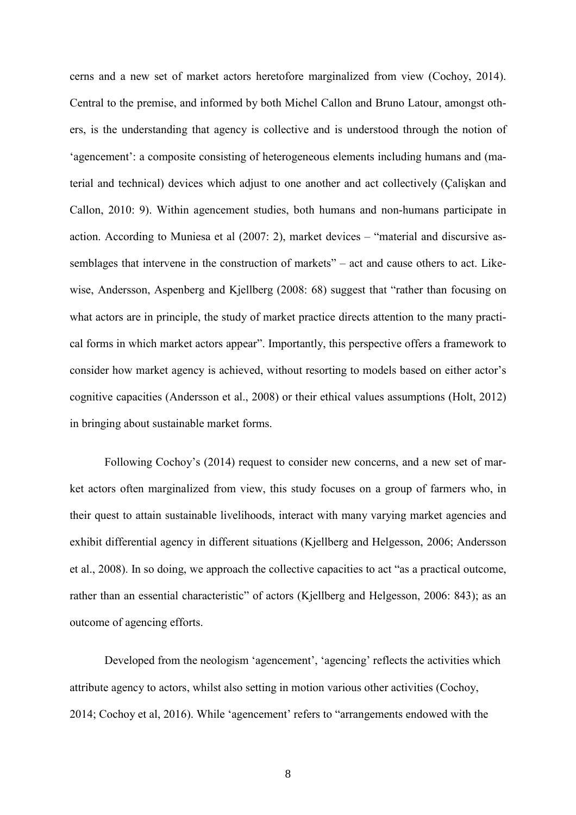cerns and a new set of market actors heretofore marginalized from view (Cochoy, 2014). Central to the premise, and informed by both Michel Callon and Bruno Latour, amongst others, is the understanding that agency is collective and is understood through the notion of 'agencement': a composite consisting of heterogeneous elements including humans and (material and technical) devices which adjust to one another and act collectively (Çalişkan and Callon, 2010: 9). Within agencement studies, both humans and non-humans participate in action. According to Muniesa et al (2007: 2), market devices – "material and discursive assemblages that intervene in the construction of markets" – act and cause others to act. Likewise, Andersson, Aspenberg and Kjellberg (2008: 68) suggest that "rather than focusing on what actors are in principle, the study of market practice directs attention to the many practical forms in which market actors appear". Importantly, this perspective offers a framework to consider how market agency is achieved, without resorting to models based on either actor's cognitive capacities (Andersson et al., 2008) or their ethical values assumptions (Holt, 2012) in bringing about sustainable market forms.

Following Cochoy's (2014) request to consider new concerns, and a new set of market actors often marginalized from view, this study focuses on a group of farmers who, in their quest to attain sustainable livelihoods, interact with many varying market agencies and exhibit differential agency in different situations (Kjellberg and Helgesson, 2006; Andersson et al., 2008). In so doing, we approach the collective capacities to act "as a practical outcome, rather than an essential characteristic" of actors (Kjellberg and Helgesson, 2006: 843); as an outcome of agencing efforts.

Developed from the neologism 'agencement', 'agencing' reflects the activities which attribute agency to actors, whilst also setting in motion various other activities (Cochoy, 2014; Cochoy et al, 2016). While 'agencement' refers to "arrangements endowed with the

8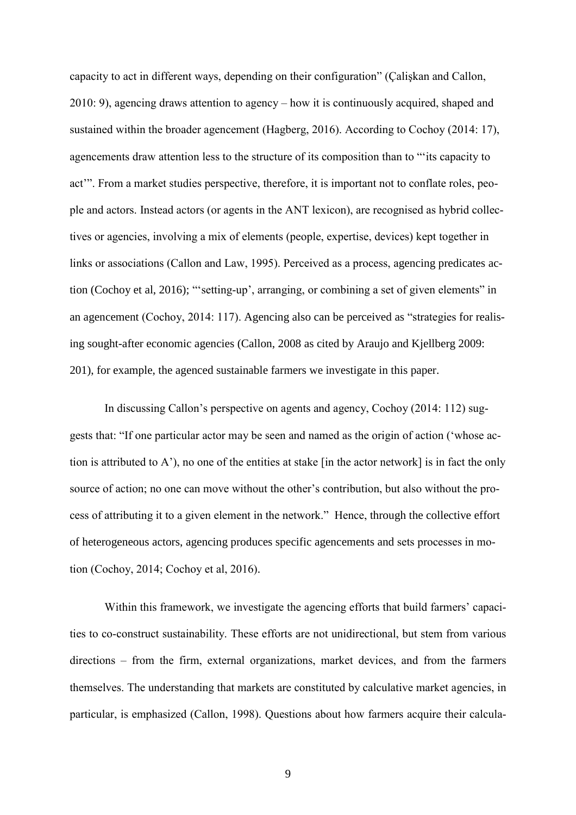capacity to act in different ways, depending on their configuration" (Çalişkan and Callon, 2010: 9), agencing draws attention to agency – how it is continuously acquired, shaped and sustained within the broader agencement (Hagberg, 2016). According to Cochoy (2014: 17), agencements draw attention less to the structure of its composition than to "'its capacity to act'". From a market studies perspective, therefore, it is important not to conflate roles, people and actors. Instead actors (or agents in the ANT lexicon), are recognised as hybrid collectives or agencies, involving a mix of elements (people, expertise, devices) kept together in links or associations (Callon and Law, 1995). Perceived as a process, agencing predicates action (Cochoy et al, 2016); "'setting-up', arranging, or combining a set of given elements" in an agencement (Cochoy, 2014: 117). Agencing also can be perceived as "strategies for realising sought-after economic agencies (Callon, 2008 as cited by Araujo and Kjellberg 2009: 201), for example, the agenced sustainable farmers we investigate in this paper.

In discussing Callon's perspective on agents and agency, Cochoy (2014: 112) suggests that: "If one particular actor may be seen and named as the origin of action ('whose action is attributed to A'), no one of the entities at stake [in the actor network] is in fact the only source of action; no one can move without the other's contribution, but also without the process of attributing it to a given element in the network." Hence, through the collective effort of heterogeneous actors, agencing produces specific agencements and sets processes in motion (Cochoy, 2014; Cochoy et al, 2016).

Within this framework, we investigate the agencing efforts that build farmers' capacities to co-construct sustainability. These efforts are not unidirectional, but stem from various directions – from the firm, external organizations, market devices, and from the farmers themselves. The understanding that markets are constituted by calculative market agencies, in particular, is emphasized (Callon, 1998). Questions about how farmers acquire their calcula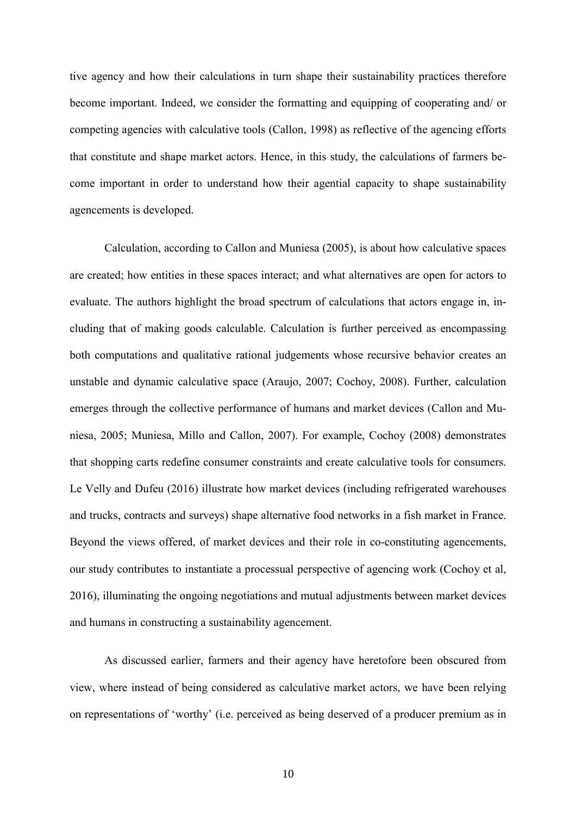tive agency and how their calculations in turn shape their sustainability practices therefore become important. Indeed, we consider the formatting and equipping of cooperating and/ or competing agencies with calculative tools (Callon, 1998) as reflective of the agencing efforts that constitute and shape market actors. Hence, in this study, the calculations of farmers become important in order to understand how their agential capacity to shape sustainability agencements is developed.

Calculation, according to Callon and Muniesa (2005), is about how calculative spaces are created; how entities in these spaces interact; and what alternatives are open for actors to evaluate. The authors highlight the broad spectrum of calculations that actors engage in, including that of making goods calculable. Calculation is further perceived as encompassing both computations and qualitative rational judgements whose recursive behavior creates an unstable and dynamic calculative space (Araujo, 2007; Cochoy, 2008). Further, calculation emerges through the collective performance of humans and market devices (Callon and Muniesa, 2005; Muniesa, Millo and Callon, 2007). For example, Cochoy (2008) demonstrates that shopping carts redefine consumer constraints and create calculative tools for consumers. Le Velly and Dufeu (2016) illustrate how market devices (including refrigerated warehouses and trucks, contracts and surveys) shape alternative food networks in a fish market in France. Beyond the views offered, of market devices and their role in co-constituting agencements, our study contributes to instantiate a processual perspective of agencing work (Cochoy et al, 2016), illuminating the ongoing negotiations and mutual adjustments between market devices and humans in constructing a sustainability agencement.

As discussed earlier, farmers and their agency have heretofore been obscured from view, where instead of being considered as calculative market actors, we have been relying on representations of 'worthy' (i.e. perceived as being deserved of a producer premium as in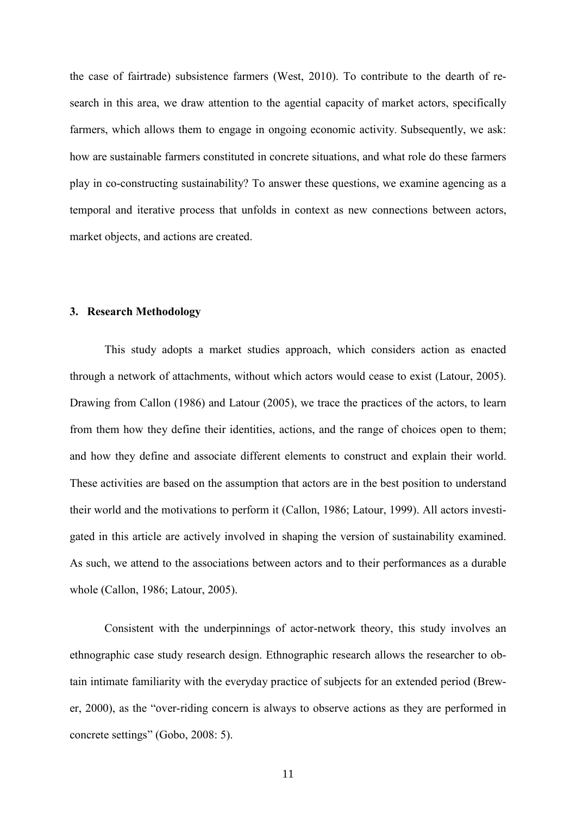the case of fairtrade) subsistence farmers (West, 2010). To contribute to the dearth of research in this area, we draw attention to the agential capacity of market actors, specifically farmers, which allows them to engage in ongoing economic activity. Subsequently, we ask: how are sustainable farmers constituted in concrete situations, and what role do these farmers play in co-constructing sustainability? To answer these questions, we examine agencing as a temporal and iterative process that unfolds in context as new connections between actors, market objects, and actions are created.

### **3. Research Methodology**

This study adopts a market studies approach, which considers action as enacted through a network of attachments, without which actors would cease to exist (Latour, 2005). Drawing from Callon (1986) and Latour (2005), we trace the practices of the actors, to learn from them how they define their identities, actions, and the range of choices open to them; and how they define and associate different elements to construct and explain their world. These activities are based on the assumption that actors are in the best position to understand their world and the motivations to perform it (Callon, 1986; Latour, 1999). All actors investigated in this article are actively involved in shaping the version of sustainability examined. As such, we attend to the associations between actors and to their performances as a durable whole (Callon, 1986; Latour, 2005).

Consistent with the underpinnings of actor-network theory, this study involves an ethnographic case study research design. Ethnographic research allows the researcher to obtain intimate familiarity with the everyday practice of subjects for an extended period (Brewer, 2000), as the "over-riding concern is always to observe actions as they are performed in concrete settings" (Gobo, 2008: 5).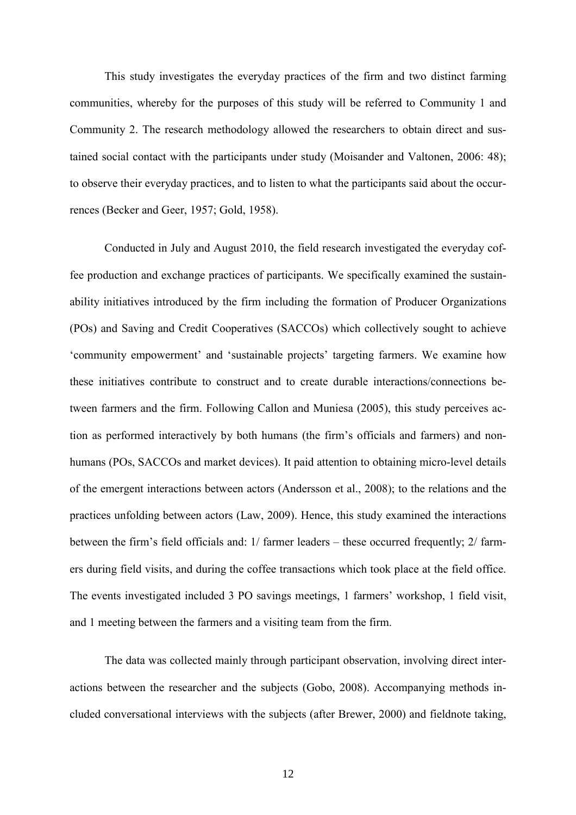This study investigates the everyday practices of the firm and two distinct farming communities, whereby for the purposes of this study will be referred to Community 1 and Community 2. The research methodology allowed the researchers to obtain direct and sustained social contact with the participants under study (Moisander and Valtonen, 2006: 48); to observe their everyday practices, and to listen to what the participants said about the occurrences (Becker and Geer, 1957; Gold, 1958).

Conducted in July and August 2010, the field research investigated the everyday coffee production and exchange practices of participants. We specifically examined the sustainability initiatives introduced by the firm including the formation of Producer Organizations (POs) and Saving and Credit Cooperatives (SACCOs) which collectively sought to achieve 'community empowerment' and 'sustainable projects' targeting farmers. We examine how these initiatives contribute to construct and to create durable interactions/connections between farmers and the firm. Following Callon and Muniesa (2005), this study perceives action as performed interactively by both humans (the firm's officials and farmers) and nonhumans (POs, SACCOs and market devices). It paid attention to obtaining micro-level details of the emergent interactions between actors (Andersson et al., 2008); to the relations and the practices unfolding between actors (Law, 2009). Hence, this study examined the interactions between the firm's field officials and: 1/ farmer leaders – these occurred frequently; 2/ farmers during field visits, and during the coffee transactions which took place at the field office. The events investigated included 3 PO savings meetings, 1 farmers' workshop, 1 field visit, and 1 meeting between the farmers and a visiting team from the firm.

The data was collected mainly through participant observation, involving direct interactions between the researcher and the subjects (Gobo, 2008). Accompanying methods included conversational interviews with the subjects (after Brewer, 2000) and fieldnote taking,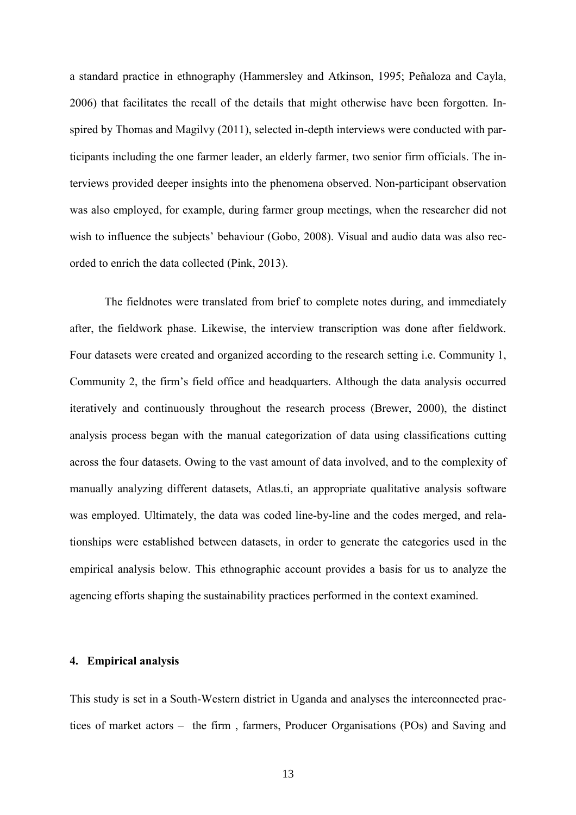a standard practice in ethnography (Hammersley and Atkinson, 1995; Peñaloza and Cayla, 2006) that facilitates the recall of the details that might otherwise have been forgotten. Inspired by Thomas and Magilvy (2011), selected in-depth interviews were conducted with participants including the one farmer leader, an elderly farmer, two senior firm officials. The interviews provided deeper insights into the phenomena observed. Non-participant observation was also employed, for example, during farmer group meetings, when the researcher did not wish to influence the subjects' behaviour (Gobo, 2008). Visual and audio data was also recorded to enrich the data collected (Pink, 2013).

The fieldnotes were translated from brief to complete notes during, and immediately after, the fieldwork phase. Likewise, the interview transcription was done after fieldwork. Four datasets were created and organized according to the research setting i.e. Community 1, Community 2, the firm's field office and headquarters. Although the data analysis occurred iteratively and continuously throughout the research process (Brewer, 2000), the distinct analysis process began with the manual categorization of data using classifications cutting across the four datasets. Owing to the vast amount of data involved, and to the complexity of manually analyzing different datasets, Atlas.ti, an appropriate qualitative analysis software was employed. Ultimately, the data was coded line-by-line and the codes merged, and relationships were established between datasets, in order to generate the categories used in the empirical analysis below. This ethnographic account provides a basis for us to analyze the agencing efforts shaping the sustainability practices performed in the context examined.

### **4. Empirical analysis**

This study is set in a South-Western district in Uganda and analyses the interconnected practices of market actors – the firm , farmers, Producer Organisations (POs) and Saving and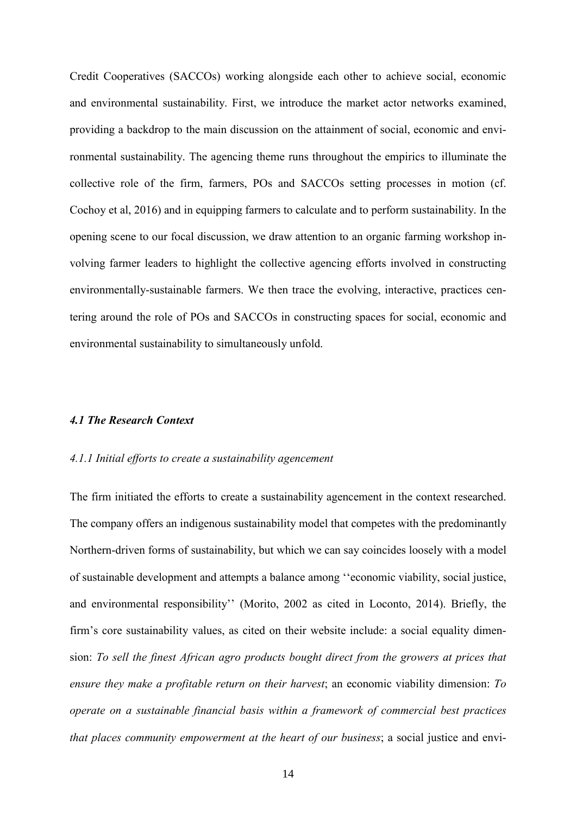Credit Cooperatives (SACCOs) working alongside each other to achieve social, economic and environmental sustainability. First, we introduce the market actor networks examined, providing a backdrop to the main discussion on the attainment of social, economic and environmental sustainability. The agencing theme runs throughout the empirics to illuminate the collective role of the firm, farmers, POs and SACCOs setting processes in motion (cf. Cochoy et al, 2016) and in equipping farmers to calculate and to perform sustainability. In the opening scene to our focal discussion, we draw attention to an organic farming workshop involving farmer leaders to highlight the collective agencing efforts involved in constructing environmentally-sustainable farmers. We then trace the evolving, interactive, practices centering around the role of POs and SACCOs in constructing spaces for social, economic and environmental sustainability to simultaneously unfold.

### *4.1 The Research Context*

### *4.1.1 Initial efforts to create a sustainability agencement*

The firm initiated the efforts to create a sustainability agencement in the context researched. The company offers an indigenous sustainability model that competes with the predominantly Northern-driven forms of sustainability, but which we can say coincides loosely with a model of sustainable development and attempts a balance among ''economic viability, social justice, and environmental responsibility'' (Morito, 2002 as cited in Loconto, 2014). Briefly, the firm's core sustainability values, as cited on their website include: a social equality dimension: *To sell the finest African agro products bought direct from the growers at prices that ensure they make a profitable return on their harvest*; an economic viability dimension: *To operate on a sustainable financial basis within a framework of commercial best practices that places community empowerment at the heart of our business*; a social justice and envi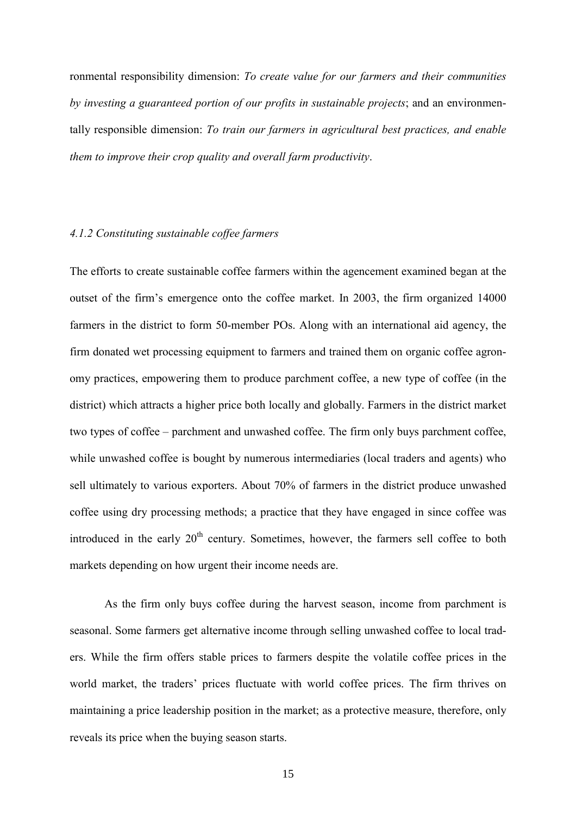ronmental responsibility dimension: *To create value for our farmers and their communities by investing a guaranteed portion of our profits in sustainable projects*; and an environmentally responsible dimension: *To train our farmers in agricultural best practices, and enable them to improve their crop quality and overall farm productivity*.

## *4.1.2 Constituting sustainable coffee farmers*

The efforts to create sustainable coffee farmers within the agencement examined began at the outset of the firm's emergence onto the coffee market. In 2003, the firm organized 14000 farmers in the district to form 50-member POs. Along with an international aid agency, the firm donated wet processing equipment to farmers and trained them on organic coffee agronomy practices, empowering them to produce parchment coffee, a new type of coffee (in the district) which attracts a higher price both locally and globally. Farmers in the district market two types of coffee – parchment and unwashed coffee. The firm only buys parchment coffee, while unwashed coffee is bought by numerous intermediaries (local traders and agents) who sell ultimately to various exporters. About 70% of farmers in the district produce unwashed coffee using dry processing methods; a practice that they have engaged in since coffee was introduced in the early  $20<sup>th</sup>$  century. Sometimes, however, the farmers sell coffee to both markets depending on how urgent their income needs are.

As the firm only buys coffee during the harvest season, income from parchment is seasonal. Some farmers get alternative income through selling unwashed coffee to local traders. While the firm offers stable prices to farmers despite the volatile coffee prices in the world market, the traders' prices fluctuate with world coffee prices. The firm thrives on maintaining a price leadership position in the market; as a protective measure, therefore, only reveals its price when the buying season starts.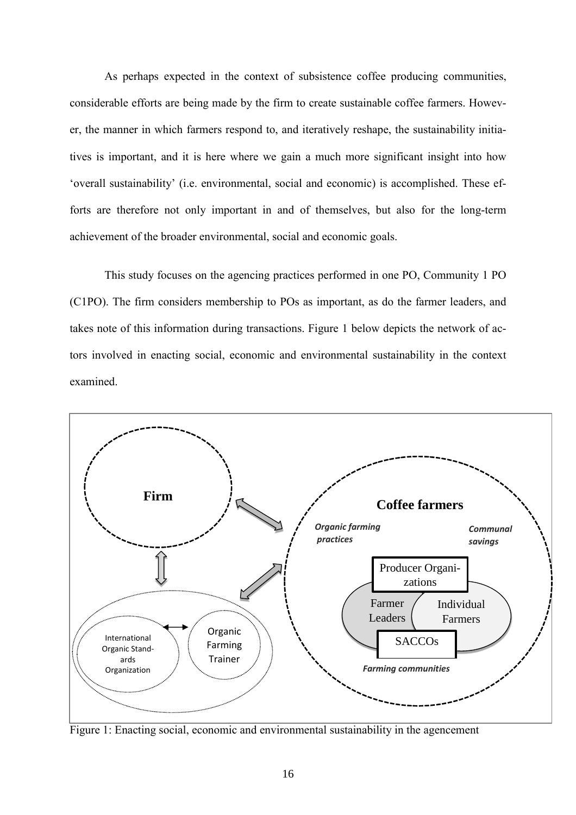As perhaps expected in the context of subsistence coffee producing communities, considerable efforts are being made by the firm to create sustainable coffee farmers. However, the manner in which farmers respond to, and iteratively reshape, the sustainability initiatives is important, and it is here where we gain a much more significant insight into how 'overall sustainability' (i.e. environmental, social and economic) is accomplished. These efforts are therefore not only important in and of themselves, but also for the long-term achievement of the broader environmental, social and economic goals.

This study focuses on the agencing practices performed in one PO, Community 1 PO (C1PO). The firm considers membership to POs as important, as do the farmer leaders, and takes note of this information during transactions. Figure 1 below depicts the network of actors involved in enacting social, economic and environmental sustainability in the context examined.



Figure 1: Enacting social, economic and environmental sustainability in the agencement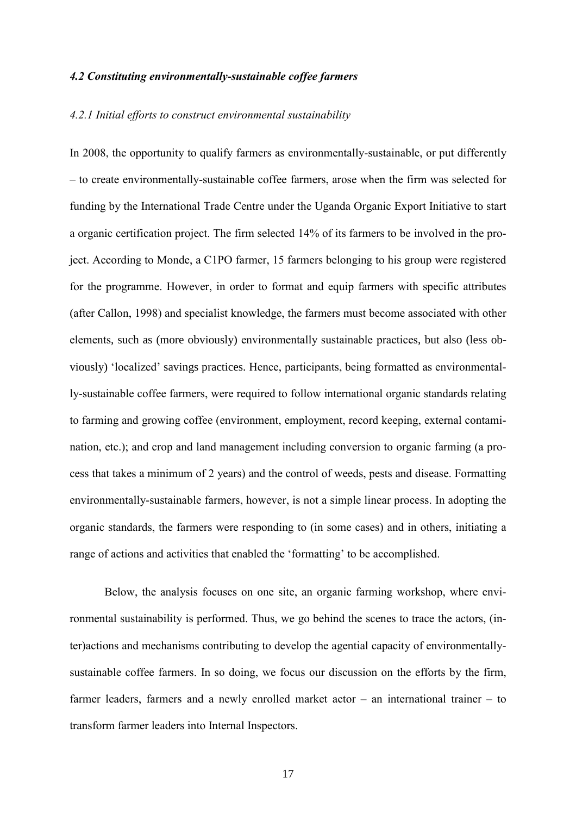### *4.2 Constituting environmentally-sustainable coffee farmers*

### *4.2.1 Initial efforts to construct environmental sustainability*

In 2008, the opportunity to qualify farmers as environmentally-sustainable, or put differently – to create environmentally-sustainable coffee farmers, arose when the firm was selected for funding by the International Trade Centre under the Uganda Organic Export Initiative to start a organic certification project. The firm selected 14% of its farmers to be involved in the project. According to Monde, a C1PO farmer, 15 farmers belonging to his group were registered for the programme. However, in order to format and equip farmers with specific attributes (after Callon, 1998) and specialist knowledge, the farmers must become associated with other elements, such as (more obviously) environmentally sustainable practices, but also (less obviously) 'localized' savings practices. Hence, participants, being formatted as environmentally-sustainable coffee farmers, were required to follow international organic standards relating to farming and growing coffee (environment, employment, record keeping, external contamination, etc.); and crop and land management including conversion to organic farming (a process that takes a minimum of 2 years) and the control of weeds, pests and disease. Formatting environmentally-sustainable farmers, however, is not a simple linear process. In adopting the organic standards, the farmers were responding to (in some cases) and in others, initiating a range of actions and activities that enabled the 'formatting' to be accomplished.

Below, the analysis focuses on one site, an organic farming workshop, where environmental sustainability is performed. Thus, we go behind the scenes to trace the actors, (inter)actions and mechanisms contributing to develop the agential capacity of environmentallysustainable coffee farmers. In so doing, we focus our discussion on the efforts by the firm, farmer leaders, farmers and a newly enrolled market actor – an international trainer – to transform farmer leaders into Internal Inspectors.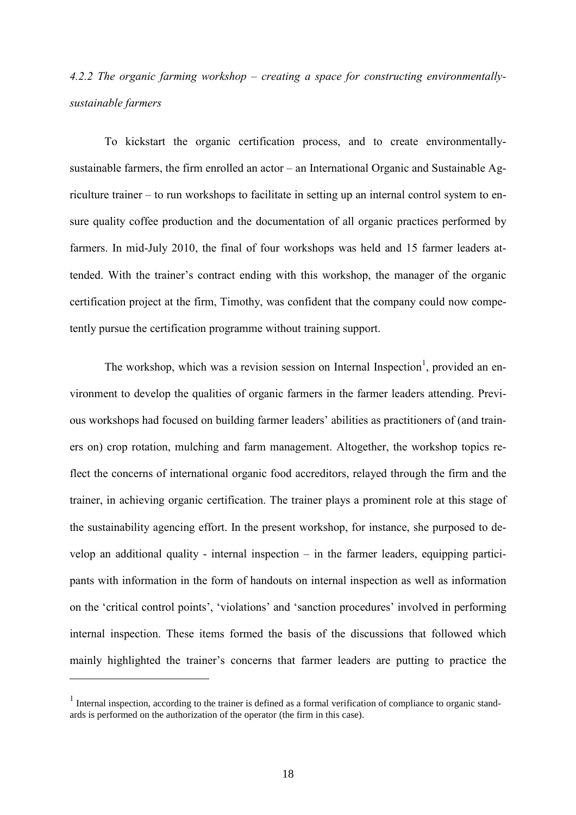# *4.2.2 The organic farming workshop – creating a space for constructing environmentallysustainable farmers*

To kickstart the organic certification process, and to create environmentallysustainable farmers, the firm enrolled an actor – an International Organic and Sustainable Agriculture trainer – to run workshops to facilitate in setting up an internal control system to ensure quality coffee production and the documentation of all organic practices performed by farmers. In mid-July 2010, the final of four workshops was held and 15 farmer leaders attended. With the trainer's contract ending with this workshop, the manager of the organic certification project at the firm, Timothy, was confident that the company could now competently pursue the certification programme without training support.

The workshop, which was a revision session on Internal Inspection<sup>1</sup>, provided an environment to develop the qualities of organic farmers in the farmer leaders attending. Previous workshops had focused on building farmer leaders' abilities as practitioners of (and trainers on) crop rotation, mulching and farm management. Altogether, the workshop topics reflect the concerns of international organic food accreditors, relayed through the firm and the trainer, in achieving organic certification. The trainer plays a prominent role at this stage of the sustainability agencing effort. In the present workshop, for instance, she purposed to develop an additional quality - internal inspection – in the farmer leaders, equipping participants with information in the form of handouts on internal inspection as well as information on the 'critical control points', 'violations' and 'sanction procedures' involved in performing internal inspection. These items formed the basis of the discussions that followed which mainly highlighted the trainer's concerns that farmer leaders are putting to practice the

 $\overline{a}$ 

<sup>&</sup>lt;sup>1</sup> Internal inspection, according to the trainer is defined as a formal verification of compliance to organic standards is performed on the authorization of the operator (the firm in this case).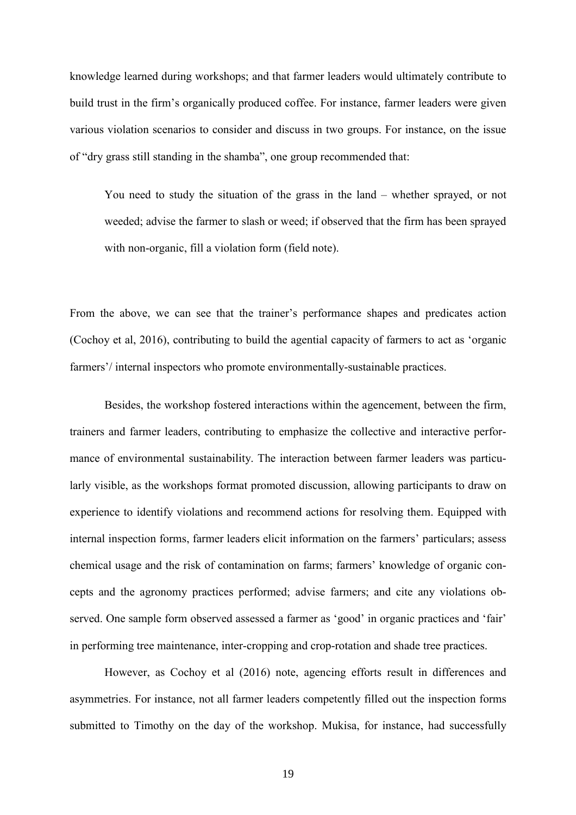knowledge learned during workshops; and that farmer leaders would ultimately contribute to build trust in the firm's organically produced coffee. For instance, farmer leaders were given various violation scenarios to consider and discuss in two groups. For instance, on the issue of "dry grass still standing in the shamba", one group recommended that:

You need to study the situation of the grass in the land – whether sprayed, or not weeded; advise the farmer to slash or weed; if observed that the firm has been sprayed with non-organic, fill a violation form (field note).

From the above, we can see that the trainer's performance shapes and predicates action (Cochoy et al, 2016), contributing to build the agential capacity of farmers to act as 'organic farmers'/ internal inspectors who promote environmentally-sustainable practices.

Besides, the workshop fostered interactions within the agencement, between the firm, trainers and farmer leaders, contributing to emphasize the collective and interactive performance of environmental sustainability. The interaction between farmer leaders was particularly visible, as the workshops format promoted discussion, allowing participants to draw on experience to identify violations and recommend actions for resolving them. Equipped with internal inspection forms, farmer leaders elicit information on the farmers' particulars; assess chemical usage and the risk of contamination on farms; farmers' knowledge of organic concepts and the agronomy practices performed; advise farmers; and cite any violations observed. One sample form observed assessed a farmer as 'good' in organic practices and 'fair' in performing tree maintenance, inter-cropping and crop-rotation and shade tree practices.

However, as Cochoy et al (2016) note, agencing efforts result in differences and asymmetries. For instance, not all farmer leaders competently filled out the inspection forms submitted to Timothy on the day of the workshop. Mukisa, for instance, had successfully

19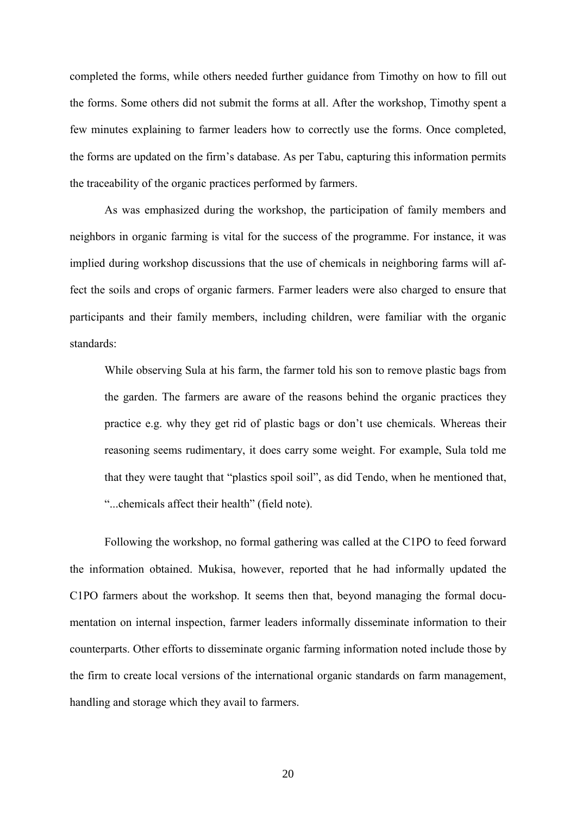completed the forms, while others needed further guidance from Timothy on how to fill out the forms. Some others did not submit the forms at all. After the workshop, Timothy spent a few minutes explaining to farmer leaders how to correctly use the forms. Once completed, the forms are updated on the firm's database. As per Tabu, capturing this information permits the traceability of the organic practices performed by farmers.

As was emphasized during the workshop, the participation of family members and neighbors in organic farming is vital for the success of the programme. For instance, it was implied during workshop discussions that the use of chemicals in neighboring farms will affect the soils and crops of organic farmers. Farmer leaders were also charged to ensure that participants and their family members, including children, were familiar with the organic standards:

While observing Sula at his farm, the farmer told his son to remove plastic bags from the garden. The farmers are aware of the reasons behind the organic practices they practice e.g. why they get rid of plastic bags or don't use chemicals. Whereas their reasoning seems rudimentary, it does carry some weight. For example, Sula told me that they were taught that "plastics spoil soil", as did Tendo, when he mentioned that, "...chemicals affect their health" (field note).

Following the workshop, no formal gathering was called at the C1PO to feed forward the information obtained. Mukisa, however, reported that he had informally updated the C1PO farmers about the workshop. It seems then that, beyond managing the formal documentation on internal inspection, farmer leaders informally disseminate information to their counterparts. Other efforts to disseminate organic farming information noted include those by the firm to create local versions of the international organic standards on farm management, handling and storage which they avail to farmers.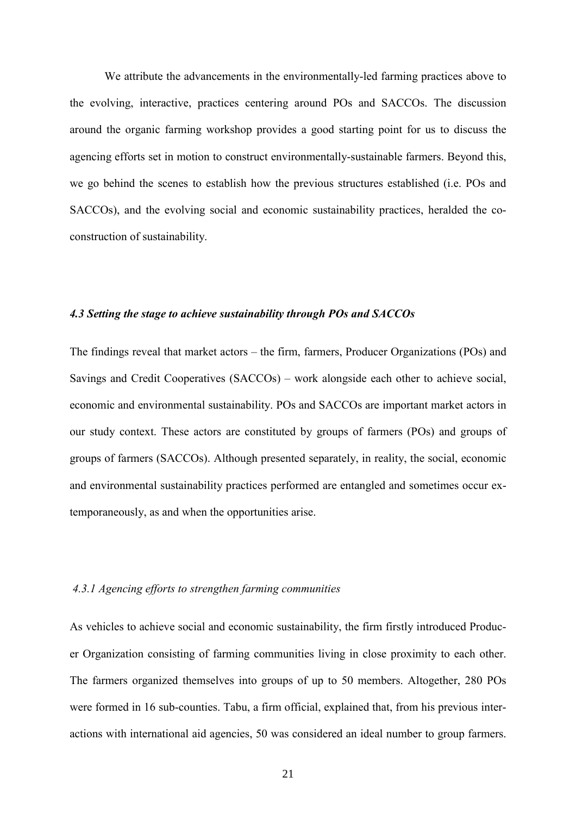We attribute the advancements in the environmentally-led farming practices above to the evolving, interactive, practices centering around POs and SACCOs. The discussion around the organic farming workshop provides a good starting point for us to discuss the agencing efforts set in motion to construct environmentally-sustainable farmers. Beyond this, we go behind the scenes to establish how the previous structures established (i.e. POs and SACCOs), and the evolving social and economic sustainability practices, heralded the coconstruction of sustainability.

# *4.3 Setting the stage to achieve sustainability through POs and SACCOs*

The findings reveal that market actors – the firm, farmers, Producer Organizations (POs) and Savings and Credit Cooperatives (SACCOs) – work alongside each other to achieve social, economic and environmental sustainability. POs and SACCOs are important market actors in our study context. These actors are constituted by groups of farmers (POs) and groups of groups of farmers (SACCOs). Although presented separately, in reality, the social, economic and environmental sustainability practices performed are entangled and sometimes occur extemporaneously, as and when the opportunities arise.

# *4.3.1 Agencing efforts to strengthen farming communities*

As vehicles to achieve social and economic sustainability, the firm firstly introduced Producer Organization consisting of farming communities living in close proximity to each other. The farmers organized themselves into groups of up to 50 members. Altogether, 280 POs were formed in 16 sub-counties. Tabu, a firm official, explained that, from his previous interactions with international aid agencies, 50 was considered an ideal number to group farmers.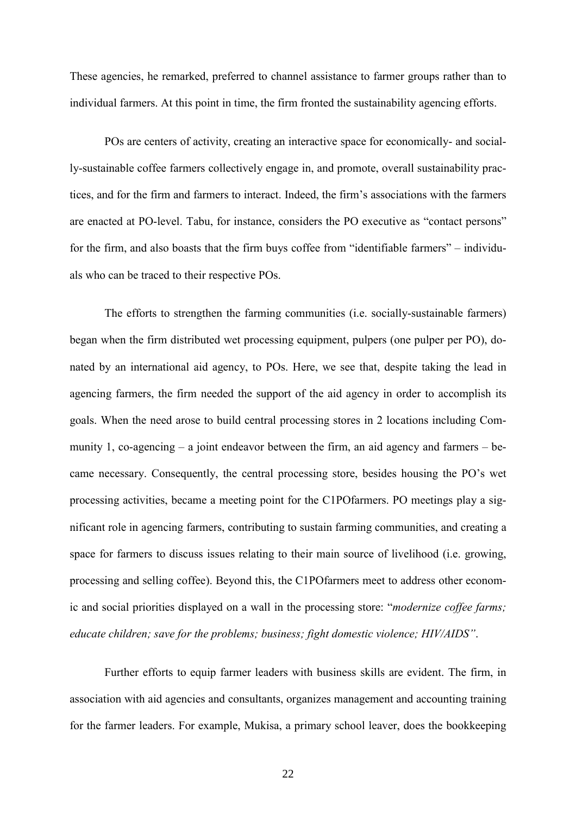These agencies, he remarked, preferred to channel assistance to farmer groups rather than to individual farmers. At this point in time, the firm fronted the sustainability agencing efforts.

POs are centers of activity, creating an interactive space for economically- and socially-sustainable coffee farmers collectively engage in, and promote, overall sustainability practices, and for the firm and farmers to interact. Indeed, the firm's associations with the farmers are enacted at PO-level. Tabu, for instance, considers the PO executive as "contact persons" for the firm, and also boasts that the firm buys coffee from "identifiable farmers" – individuals who can be traced to their respective POs.

The efforts to strengthen the farming communities (i.e. socially-sustainable farmers) began when the firm distributed wet processing equipment, pulpers (one pulper per PO), donated by an international aid agency, to POs. Here, we see that, despite taking the lead in agencing farmers, the firm needed the support of the aid agency in order to accomplish its goals. When the need arose to build central processing stores in 2 locations including Community 1, co-agencing – a joint endeavor between the firm, an aid agency and farmers – became necessary. Consequently, the central processing store, besides housing the PO's wet processing activities, became a meeting point for the C1POfarmers. PO meetings play a significant role in agencing farmers, contributing to sustain farming communities, and creating a space for farmers to discuss issues relating to their main source of livelihood (i.e. growing, processing and selling coffee). Beyond this, the C1POfarmers meet to address other economic and social priorities displayed on a wall in the processing store: "*modernize coffee farms; educate children; save for the problems; business; fight domestic violence; HIV/AIDS"*.

Further efforts to equip farmer leaders with business skills are evident. The firm, in association with aid agencies and consultants, organizes management and accounting training for the farmer leaders. For example, Mukisa, a primary school leaver, does the bookkeeping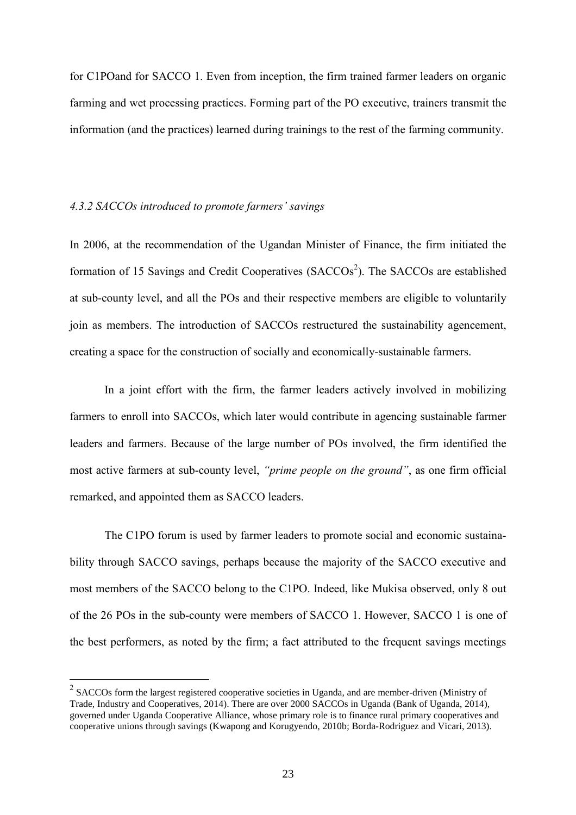for C1POand for SACCO 1. Even from inception, the firm trained farmer leaders on organic farming and wet processing practices. Forming part of the PO executive, trainers transmit the information (and the practices) learned during trainings to the rest of the farming community.

### *4.3.2 SACCOs introduced to promote farmers' savings*

In 2006, at the recommendation of the Ugandan Minister of Finance, the firm initiated the formation of 15 Savings and Credit Cooperatives ( $SACCOs<sup>2</sup>$ ). The SACCOs are established at sub-county level, and all the POs and their respective members are eligible to voluntarily join as members. The introduction of SACCOs restructured the sustainability agencement, creating a space for the construction of socially and economically-sustainable farmers.

In a joint effort with the firm, the farmer leaders actively involved in mobilizing farmers to enroll into SACCOs, which later would contribute in agencing sustainable farmer leaders and farmers. Because of the large number of POs involved, the firm identified the most active farmers at sub-county level, *"prime people on the ground"*, as one firm official remarked, and appointed them as SACCO leaders.

The C1PO forum is used by farmer leaders to promote social and economic sustainability through SACCO savings, perhaps because the majority of the SACCO executive and most members of the SACCO belong to the C1PO. Indeed, like Mukisa observed, only 8 out of the 26 POs in the sub-county were members of SACCO 1. However, SACCO 1 is one of the best performers, as noted by the firm; a fact attributed to the frequent savings meetings

<sup>&</sup>lt;sup>2</sup> SACCOs form the largest registered cooperative societies in Uganda, and are member-driven (Ministry of Trade, Industry and Cooperatives, 2014). There are over 2000 SACCOs in Uganda (Bank of Uganda, 2014), governed under Uganda Cooperative Alliance, whose primary role is to finance rural primary cooperatives and cooperative unions through savings (Kwapong and Korugyendo, 2010b; Borda-Rodriguez and Vicari, 2013).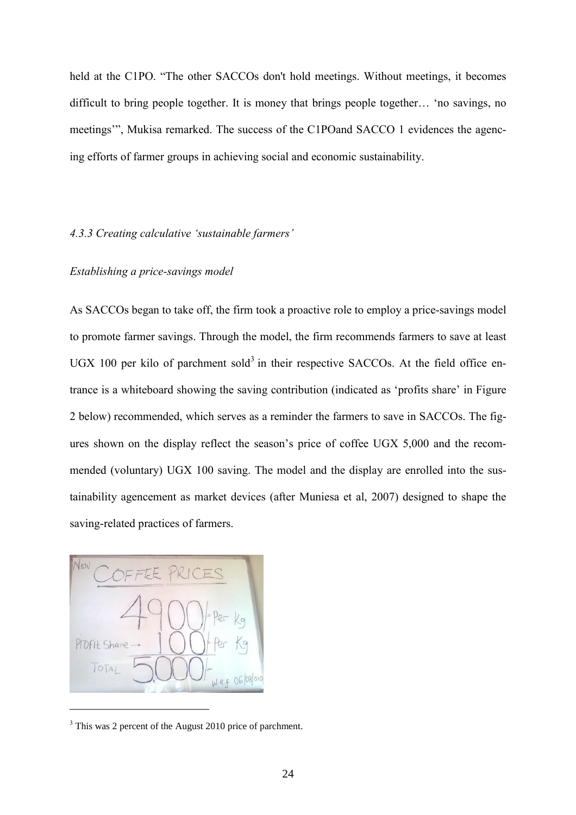held at the C1PO. "The other SACCOs don't hold meetings. Without meetings, it becomes difficult to bring people together. It is money that brings people together… 'no savings, no meetings'", Mukisa remarked. The success of the C1POand SACCO 1 evidences the agencing efforts of farmer groups in achieving social and economic sustainability.

# *4.3.3 Creating calculative 'sustainable farmers'*

# *Establishing a price-savings model*

As SACCOs began to take off, the firm took a proactive role to employ a price-savings model to promote farmer savings. Through the model, the firm recommends farmers to save at least UGX 100 per kilo of parchment sold<sup>3</sup> in their respective SACCOs. At the field office entrance is a whiteboard showing the saving contribution (indicated as 'profits share' in Figure 2 below) recommended, which serves as a reminder the farmers to save in SACCOs. The figures shown on the display reflect the season's price of coffee UGX 5,000 and the recommended (voluntary) UGX 100 saving. The model and the display are enrolled into the sustainability agencement as market devices (after Muniesa et al, 2007) designed to shape the saving-related practices of farmers.



 $\overline{a}$ 

<sup>&</sup>lt;sup>3</sup> This was 2 percent of the August 2010 price of parchment.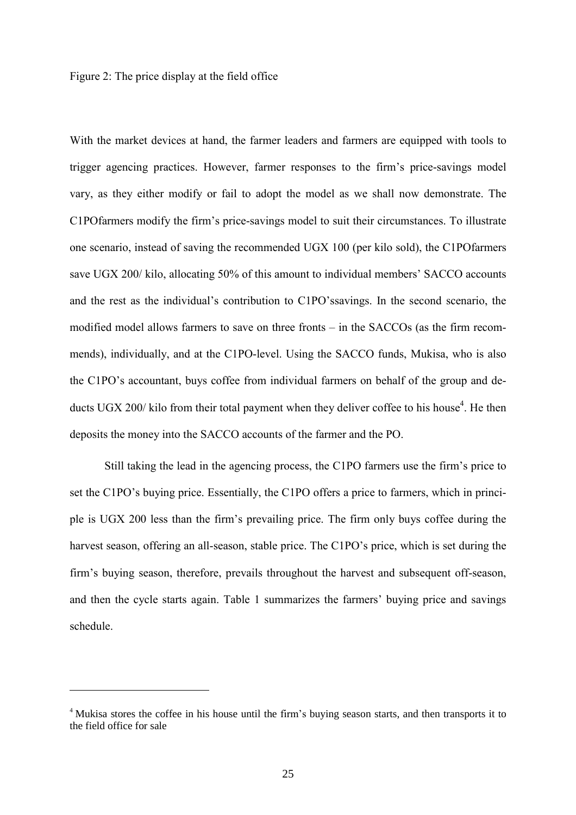Figure 2: The price display at the field office

With the market devices at hand, the farmer leaders and farmers are equipped with tools to trigger agencing practices. However, farmer responses to the firm's price-savings model vary, as they either modify or fail to adopt the model as we shall now demonstrate. The C1POfarmers modify the firm's price-savings model to suit their circumstances. To illustrate one scenario, instead of saving the recommended UGX 100 (per kilo sold), the C1POfarmers save UGX 200/ kilo, allocating 50% of this amount to individual members' SACCO accounts and the rest as the individual's contribution to C1PO'ssavings. In the second scenario, the modified model allows farmers to save on three fronts – in the SACCOs (as the firm recommends), individually, and at the C1PO-level. Using the SACCO funds, Mukisa, who is also the C1PO's accountant, buys coffee from individual farmers on behalf of the group and deducts UGX 200/ kilo from their total payment when they deliver coffee to his house<sup>4</sup>. He then deposits the money into the SACCO accounts of the farmer and the PO.

Still taking the lead in the agencing process, the C1PO farmers use the firm's price to set the C1PO's buying price. Essentially, the C1PO offers a price to farmers, which in principle is UGX 200 less than the firm's prevailing price. The firm only buys coffee during the harvest season, offering an all-season, stable price. The C1PO's price, which is set during the firm's buying season, therefore, prevails throughout the harvest and subsequent off-season, and then the cycle starts again. Table 1 summarizes the farmers' buying price and savings schedule.

 $\overline{a}$ 

<sup>&</sup>lt;sup>4</sup> Mukisa stores the coffee in his house until the firm's buying season starts, and then transports it to the field office for sale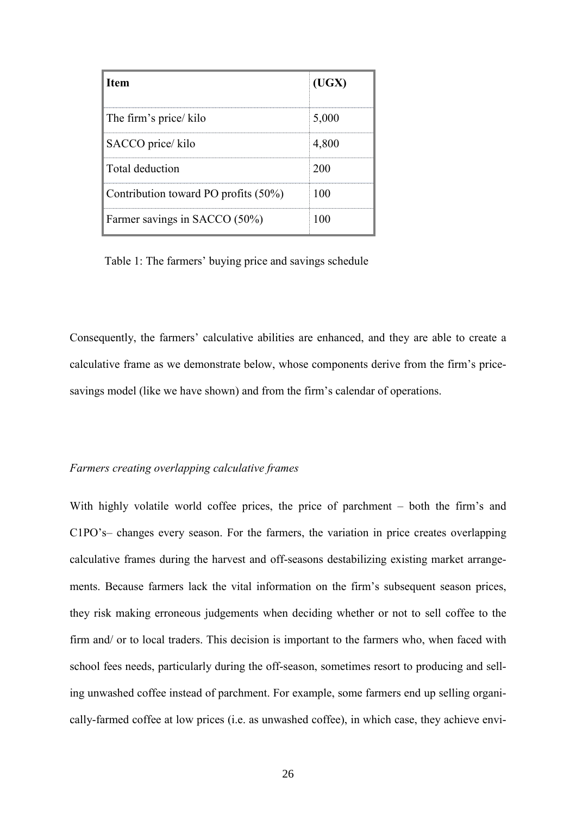| <b>Item</b>                          | (UGX) |
|--------------------------------------|-------|
| The firm's price/kilo                | 5,000 |
| SACCO price/kilo                     | 4,800 |
| Total deduction                      | 200   |
| Contribution toward PO profits (50%) | 100   |
| Farmer savings in SACCO (50%)        | ന     |

Table 1: The farmers' buying price and savings schedule

Consequently, the farmers' calculative abilities are enhanced, and they are able to create a calculative frame as we demonstrate below, whose components derive from the firm's pricesavings model (like we have shown) and from the firm's calendar of operations.

## *Farmers creating overlapping calculative frames*

With highly volatile world coffee prices, the price of parchment – both the firm's and C1PO's– changes every season. For the farmers, the variation in price creates overlapping calculative frames during the harvest and off-seasons destabilizing existing market arrangements. Because farmers lack the vital information on the firm's subsequent season prices, they risk making erroneous judgements when deciding whether or not to sell coffee to the firm and/ or to local traders. This decision is important to the farmers who, when faced with school fees needs, particularly during the off-season, sometimes resort to producing and selling unwashed coffee instead of parchment. For example, some farmers end up selling organically-farmed coffee at low prices (i.e. as unwashed coffee), in which case, they achieve envi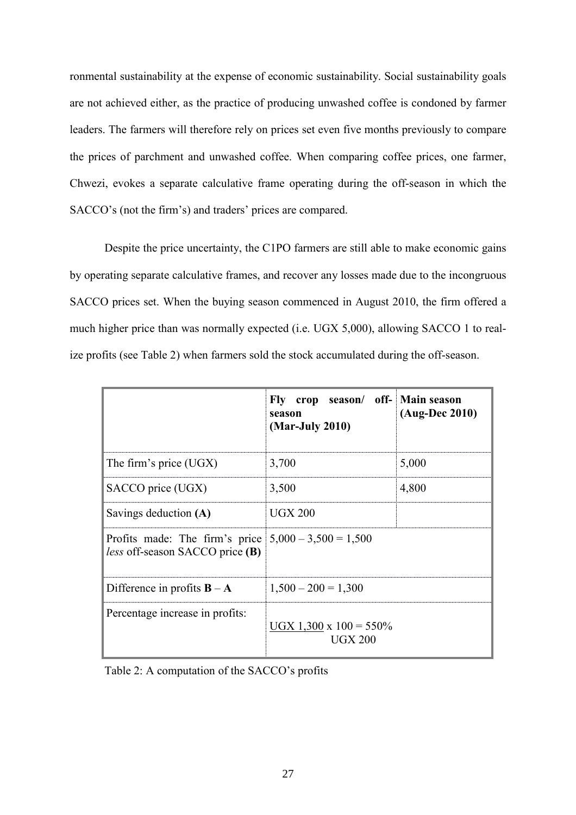ronmental sustainability at the expense of economic sustainability. Social sustainability goals are not achieved either, as the practice of producing unwashed coffee is condoned by farmer leaders. The farmers will therefore rely on prices set even five months previously to compare the prices of parchment and unwashed coffee. When comparing coffee prices, one farmer, Chwezi, evokes a separate calculative frame operating during the off-season in which the SACCO's (not the firm's) and traders' prices are compared.

Despite the price uncertainty, the C1PO farmers are still able to make economic gains by operating separate calculative frames, and recover any losses made due to the incongruous SACCO prices set. When the buying season commenced in August 2010, the firm offered a much higher price than was normally expected (i.e. UGX 5,000), allowing SACCO 1 to realize profits (see Table 2) when farmers sold the stock accumulated during the off-season.

|                                                                                           | Fly crop season/ off- Main season<br>season<br>(Mar-July 2010) | $(Aug-Dec 2010)$ |
|-------------------------------------------------------------------------------------------|----------------------------------------------------------------|------------------|
| The firm's price $(UGX)$                                                                  | 3,700                                                          | 5,000            |
| SACCO price (UGX)                                                                         | 3,500                                                          | 4,800            |
| Savings deduction (A)                                                                     | <b>UGX 200</b>                                                 |                  |
| Profits made: The firm's price $5,000 - 3,500 = 1,500$<br>less off-season SACCO price (B) |                                                                |                  |
| Difference in profits $B - A$                                                             | $1,500 - 200 = 1,300$                                          |                  |
| Percentage increase in profits:                                                           | $UGX$ 1,300 x 100 = 550%<br><b>UGX 200</b>                     |                  |

Table 2: A computation of the SACCO's profits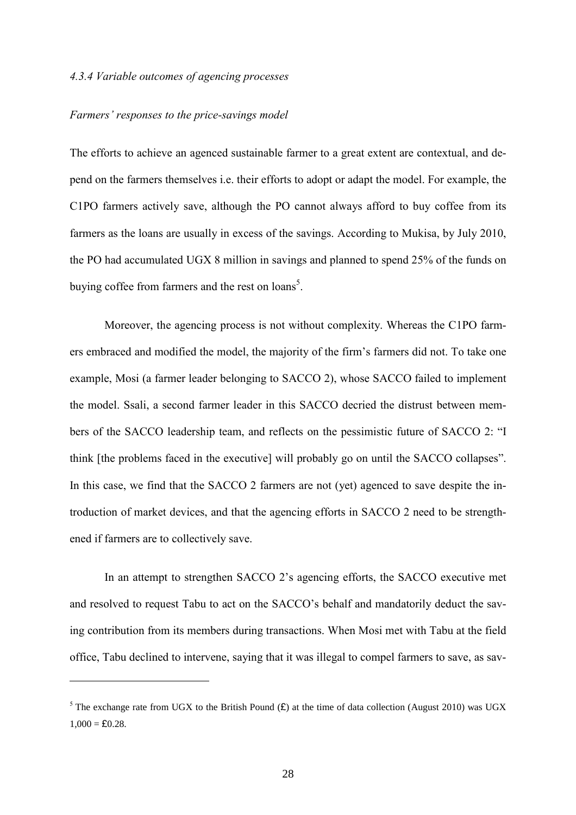### *4.3.4 Variable outcomes of agencing processes*

### *Farmers' responses to the price-savings model*

 $\overline{a}$ 

The efforts to achieve an agenced sustainable farmer to a great extent are contextual, and depend on the farmers themselves i.e. their efforts to adopt or adapt the model. For example, the C1PO farmers actively save, although the PO cannot always afford to buy coffee from its farmers as the loans are usually in excess of the savings. According to Mukisa, by July 2010, the PO had accumulated UGX 8 million in savings and planned to spend 25% of the funds on buying coffee from farmers and the rest on loans<sup>5</sup>.

Moreover, the agencing process is not without complexity. Whereas the C1PO farmers embraced and modified the model, the majority of the firm's farmers did not. To take one example, Mosi (a farmer leader belonging to SACCO 2), whose SACCO failed to implement the model. Ssali, a second farmer leader in this SACCO decried the distrust between members of the SACCO leadership team, and reflects on the pessimistic future of SACCO 2: "I think [the problems faced in the executive] will probably go on until the SACCO collapses". In this case, we find that the SACCO 2 farmers are not (yet) agenced to save despite the introduction of market devices, and that the agencing efforts in SACCO 2 need to be strengthened if farmers are to collectively save.

In an attempt to strengthen SACCO 2's agencing efforts, the SACCO executive met and resolved to request Tabu to act on the SACCO's behalf and mandatorily deduct the saving contribution from its members during transactions. When Mosi met with Tabu at the field office, Tabu declined to intervene, saying that it was illegal to compel farmers to save, as sav-

<sup>&</sup>lt;sup>5</sup> The exchange rate from UGX to the British Pound  $(E)$  at the time of data collection (August 2010) was UGX  $1,000 = £0.28.$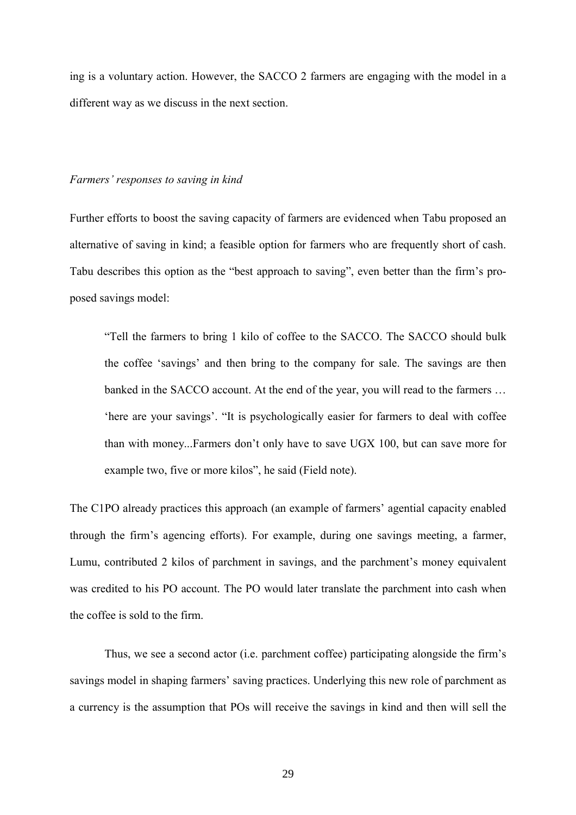ing is a voluntary action. However, the SACCO 2 farmers are engaging with the model in a different way as we discuss in the next section.

### *Farmers' responses to saving in kind*

Further efforts to boost the saving capacity of farmers are evidenced when Tabu proposed an alternative of saving in kind; a feasible option for farmers who are frequently short of cash. Tabu describes this option as the "best approach to saving", even better than the firm's proposed savings model:

"Tell the farmers to bring 1 kilo of coffee to the SACCO. The SACCO should bulk the coffee 'savings' and then bring to the company for sale. The savings are then banked in the SACCO account. At the end of the year, you will read to the farmers … 'here are your savings'. "It is psychologically easier for farmers to deal with coffee than with money...Farmers don't only have to save UGX 100, but can save more for example two, five or more kilos", he said (Field note).

The C1PO already practices this approach (an example of farmers' agential capacity enabled through the firm's agencing efforts). For example, during one savings meeting, a farmer, Lumu, contributed 2 kilos of parchment in savings, and the parchment's money equivalent was credited to his PO account. The PO would later translate the parchment into cash when the coffee is sold to the firm.

Thus, we see a second actor (i.e. parchment coffee) participating alongside the firm's savings model in shaping farmers' saving practices. Underlying this new role of parchment as a currency is the assumption that POs will receive the savings in kind and then will sell the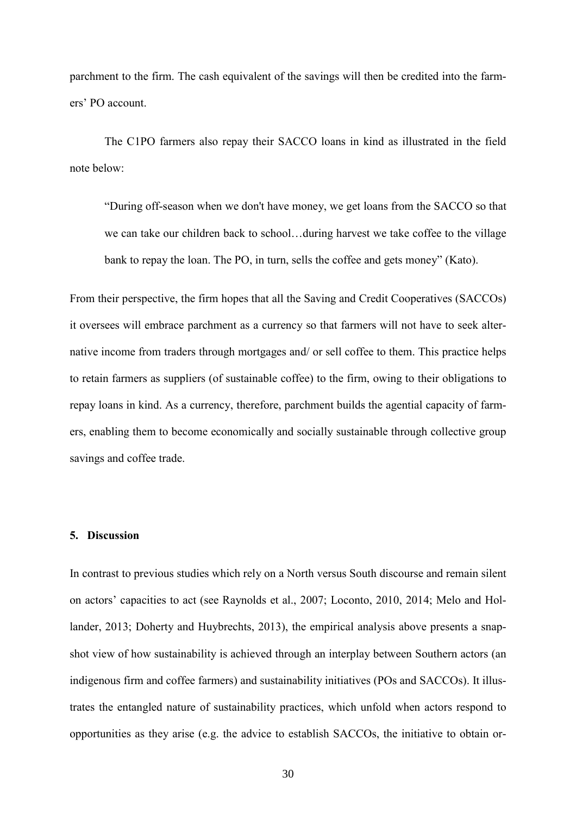parchment to the firm. The cash equivalent of the savings will then be credited into the farmers' PO account.

The C1PO farmers also repay their SACCO loans in kind as illustrated in the field note below:

"During off-season when we don't have money, we get loans from the SACCO so that we can take our children back to school…during harvest we take coffee to the village bank to repay the loan. The PO, in turn, sells the coffee and gets money" (Kato).

From their perspective, the firm hopes that all the Saving and Credit Cooperatives (SACCOs) it oversees will embrace parchment as a currency so that farmers will not have to seek alternative income from traders through mortgages and/ or sell coffee to them. This practice helps to retain farmers as suppliers (of sustainable coffee) to the firm, owing to their obligations to repay loans in kind. As a currency, therefore, parchment builds the agential capacity of farmers, enabling them to become economically and socially sustainable through collective group savings and coffee trade.

## **5. Discussion**

In contrast to previous studies which rely on a North versus South discourse and remain silent on actors' capacities to act (see Raynolds et al., 2007; Loconto, 2010, 2014; Melo and Hollander, 2013; Doherty and Huybrechts, 2013), the empirical analysis above presents a snapshot view of how sustainability is achieved through an interplay between Southern actors (an indigenous firm and coffee farmers) and sustainability initiatives (POs and SACCOs). It illustrates the entangled nature of sustainability practices, which unfold when actors respond to opportunities as they arise (e.g. the advice to establish SACCOs, the initiative to obtain or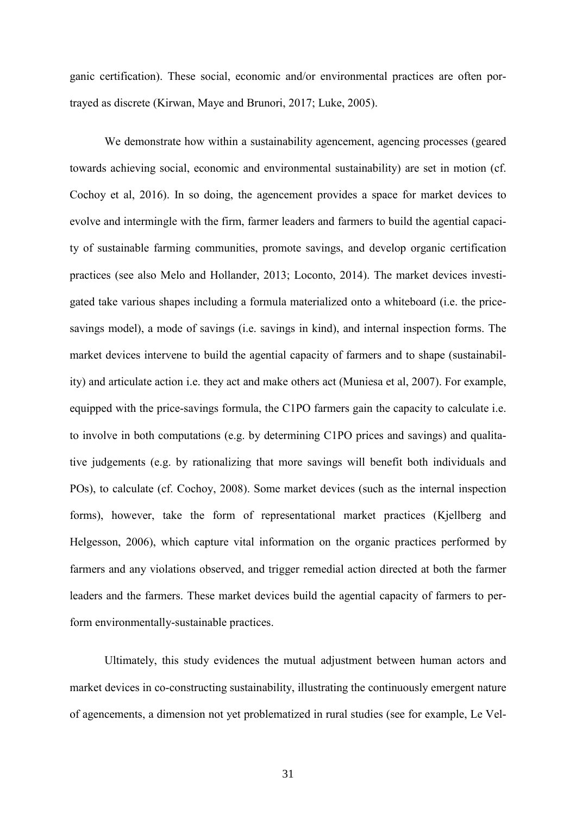ganic certification). These social, economic and/or environmental practices are often portrayed as discrete (Kirwan, Maye and Brunori, 2017; Luke, 2005).

We demonstrate how within a sustainability agencement, agencing processes (geared towards achieving social, economic and environmental sustainability) are set in motion (cf. Cochoy et al, 2016). In so doing, the agencement provides a space for market devices to evolve and intermingle with the firm, farmer leaders and farmers to build the agential capacity of sustainable farming communities, promote savings, and develop organic certification practices (see also Melo and Hollander, 2013; Loconto, 2014). The market devices investigated take various shapes including a formula materialized onto a whiteboard (i.e. the pricesavings model), a mode of savings (i.e. savings in kind), and internal inspection forms. The market devices intervene to build the agential capacity of farmers and to shape (sustainability) and articulate action i.e. they act and make others act (Muniesa et al, 2007). For example, equipped with the price-savings formula, the C1PO farmers gain the capacity to calculate i.e. to involve in both computations (e.g. by determining C1PO prices and savings) and qualitative judgements (e.g. by rationalizing that more savings will benefit both individuals and POs), to calculate (cf. Cochoy, 2008). Some market devices (such as the internal inspection forms), however, take the form of representational market practices (Kjellberg and Helgesson, 2006), which capture vital information on the organic practices performed by farmers and any violations observed, and trigger remedial action directed at both the farmer leaders and the farmers. These market devices build the agential capacity of farmers to perform environmentally-sustainable practices.

Ultimately, this study evidences the mutual adjustment between human actors and market devices in co-constructing sustainability, illustrating the continuously emergent nature of agencements, a dimension not yet problematized in rural studies (see for example, Le Vel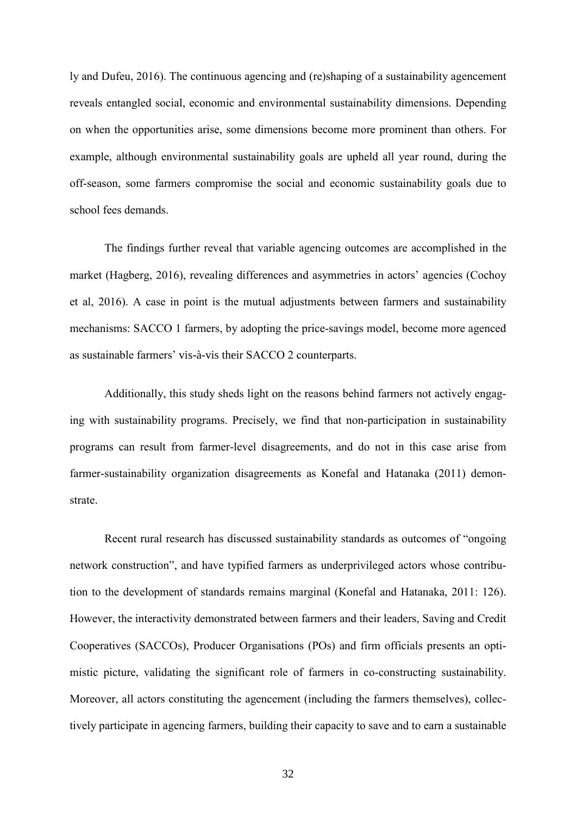ly and Dufeu, 2016). The continuous agencing and (re)shaping of a sustainability agencement reveals entangled social, economic and environmental sustainability dimensions. Depending on when the opportunities arise, some dimensions become more prominent than others. For example, although environmental sustainability goals are upheld all year round, during the off-season, some farmers compromise the social and economic sustainability goals due to school fees demands.

The findings further reveal that variable agencing outcomes are accomplished in the market (Hagberg, 2016), revealing differences and asymmetries in actors' agencies (Cochoy et al, 2016). A case in point is the mutual adjustments between farmers and sustainability mechanisms: SACCO 1 farmers, by adopting the price-savings model, become more agenced as sustainable farmers' vis-à-vis their SACCO 2 counterparts.

Additionally, this study sheds light on the reasons behind farmers not actively engaging with sustainability programs. Precisely, we find that non-participation in sustainability programs can result from farmer-level disagreements, and do not in this case arise from farmer-sustainability organization disagreements as Konefal and Hatanaka (2011) demonstrate.

Recent rural research has discussed sustainability standards as outcomes of "ongoing network construction", and have typified farmers as underprivileged actors whose contribution to the development of standards remains marginal (Konefal and Hatanaka, 2011: 126). However, the interactivity demonstrated between farmers and their leaders, Saving and Credit Cooperatives (SACCOs), Producer Organisations (POs) and firm officials presents an optimistic picture, validating the significant role of farmers in co-constructing sustainability. Moreover, all actors constituting the agencement (including the farmers themselves), collectively participate in agencing farmers, building their capacity to save and to earn a sustainable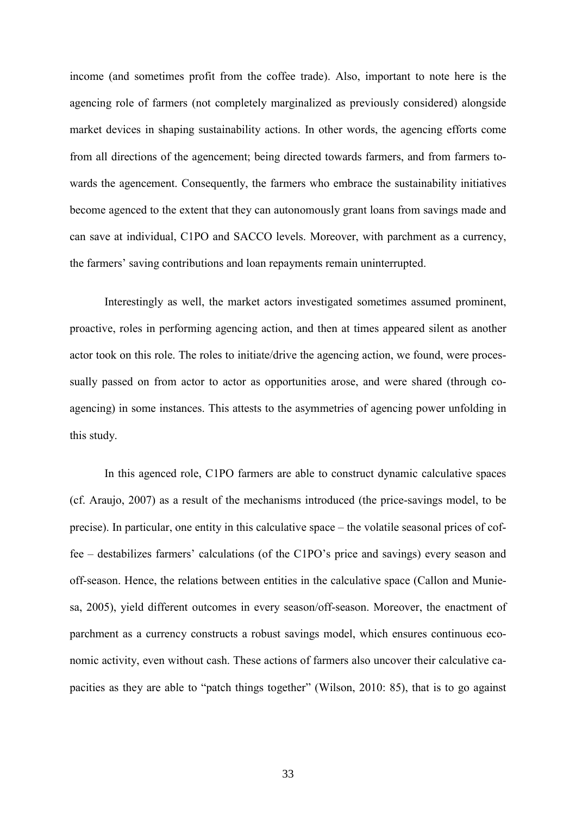income (and sometimes profit from the coffee trade). Also, important to note here is the agencing role of farmers (not completely marginalized as previously considered) alongside market devices in shaping sustainability actions. In other words, the agencing efforts come from all directions of the agencement; being directed towards farmers, and from farmers towards the agencement. Consequently, the farmers who embrace the sustainability initiatives become agenced to the extent that they can autonomously grant loans from savings made and can save at individual, C1PO and SACCO levels. Moreover, with parchment as a currency, the farmers' saving contributions and loan repayments remain uninterrupted.

Interestingly as well, the market actors investigated sometimes assumed prominent, proactive, roles in performing agencing action, and then at times appeared silent as another actor took on this role. The roles to initiate/drive the agencing action, we found, were processually passed on from actor to actor as opportunities arose, and were shared (through coagencing) in some instances. This attests to the asymmetries of agencing power unfolding in this study.

In this agenced role, C1PO farmers are able to construct dynamic calculative spaces (cf. Araujo, 2007) as a result of the mechanisms introduced (the price-savings model, to be precise). In particular, one entity in this calculative space – the volatile seasonal prices of coffee – destabilizes farmers' calculations (of the C1PO's price and savings) every season and off-season. Hence, the relations between entities in the calculative space (Callon and Muniesa, 2005), yield different outcomes in every season/off-season. Moreover, the enactment of parchment as a currency constructs a robust savings model, which ensures continuous economic activity, even without cash. These actions of farmers also uncover their calculative capacities as they are able to "patch things together" (Wilson, 2010: 85), that is to go against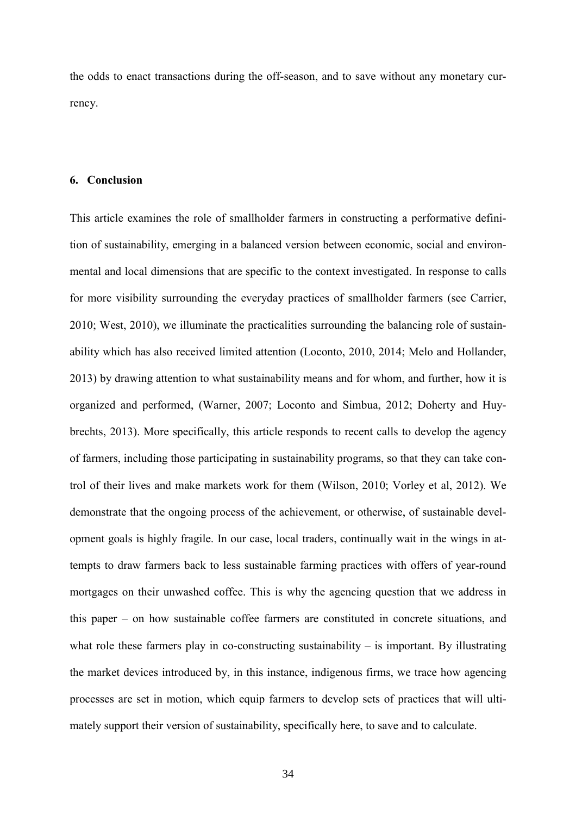the odds to enact transactions during the off-season, and to save without any monetary currency.

## **6. Conclusion**

This article examines the role of smallholder farmers in constructing a performative definition of sustainability, emerging in a balanced version between economic, social and environmental and local dimensions that are specific to the context investigated. In response to calls for more visibility surrounding the everyday practices of smallholder farmers (see Carrier, 2010; West, 2010), we illuminate the practicalities surrounding the balancing role of sustainability which has also received limited attention (Loconto, 2010, 2014; Melo and Hollander, 2013) by drawing attention to what sustainability means and for whom, and further, how it is organized and performed, (Warner, 2007; Loconto and Simbua, 2012; Doherty and Huybrechts, 2013). More specifically, this article responds to recent calls to develop the agency of farmers, including those participating in sustainability programs, so that they can take control of their lives and make markets work for them (Wilson, 2010; Vorley et al, 2012). We demonstrate that the ongoing process of the achievement, or otherwise, of sustainable development goals is highly fragile. In our case, local traders, continually wait in the wings in attempts to draw farmers back to less sustainable farming practices with offers of year-round mortgages on their unwashed coffee. This is why the agencing question that we address in this paper – on how sustainable coffee farmers are constituted in concrete situations, and what role these farmers play in co-constructing sustainability  $-$  is important. By illustrating the market devices introduced by, in this instance, indigenous firms, we trace how agencing processes are set in motion, which equip farmers to develop sets of practices that will ultimately support their version of sustainability, specifically here, to save and to calculate.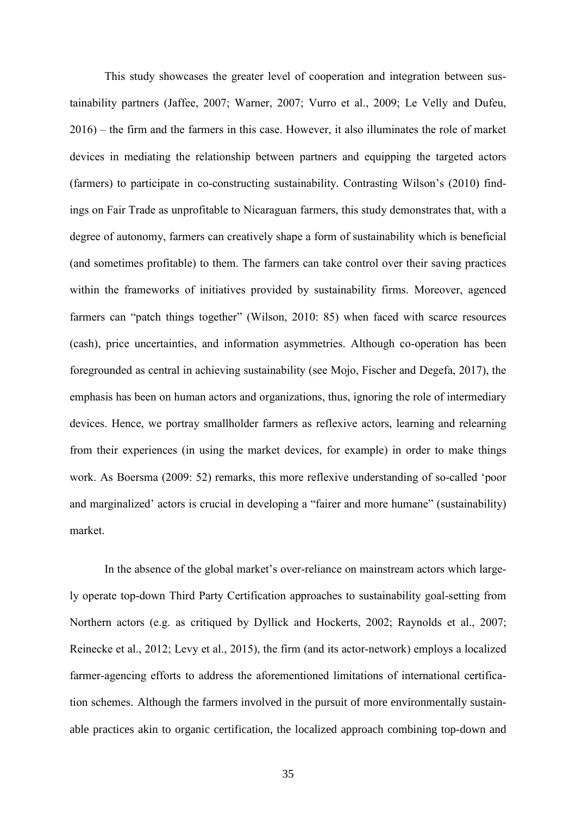This study showcases the greater level of cooperation and integration between sustainability partners (Jaffee, 2007; Warner, 2007; Vurro et al., 2009; Le Velly and Dufeu, 2016) – the firm and the farmers in this case. However, it also illuminates the role of market devices in mediating the relationship between partners and equipping the targeted actors (farmers) to participate in co-constructing sustainability. Contrasting Wilson's (2010) findings on Fair Trade as unprofitable to Nicaraguan farmers, this study demonstrates that, with a degree of autonomy, farmers can creatively shape a form of sustainability which is beneficial (and sometimes profitable) to them. The farmers can take control over their saving practices within the frameworks of initiatives provided by sustainability firms. Moreover, agenced farmers can "patch things together" (Wilson, 2010: 85) when faced with scarce resources (cash), price uncertainties, and information asymmetries. Although co-operation has been foregrounded as central in achieving sustainability (see Mojo, Fischer and Degefa, 2017), the emphasis has been on human actors and organizations, thus, ignoring the role of intermediary devices. Hence, we portray smallholder farmers as reflexive actors, learning and relearning from their experiences (in using the market devices, for example) in order to make things work. As Boersma (2009: 52) remarks, this more reflexive understanding of so-called 'poor and marginalized' actors is crucial in developing a "fairer and more humane" (sustainability) market.

In the absence of the global market's over-reliance on mainstream actors which largely operate top-down Third Party Certification approaches to sustainability goal-setting from Northern actors (e.g. as critiqued by Dyllick and Hockerts, 2002; Raynolds et al., 2007; Reinecke et al., 2012; Levy et al., 2015), the firm (and its actor-network) employs a localized farmer-agencing efforts to address the aforementioned limitations of international certification schemes. Although the farmers involved in the pursuit of more environmentally sustainable practices akin to organic certification, the localized approach combining top-down and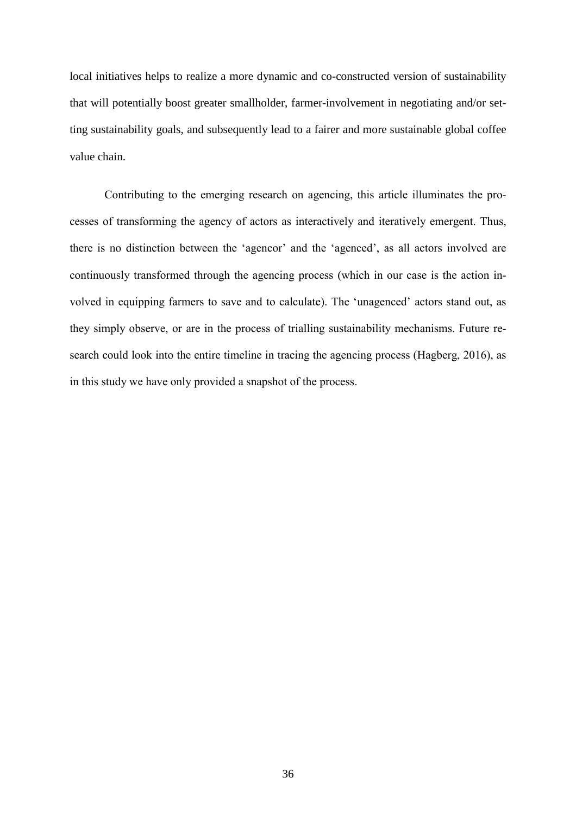local initiatives helps to realize a more dynamic and co-constructed version of sustainability that will potentially boost greater smallholder, farmer-involvement in negotiating and/or setting sustainability goals, and subsequently lead to a fairer and more sustainable global coffee value chain.

Contributing to the emerging research on agencing, this article illuminates the processes of transforming the agency of actors as interactively and iteratively emergent. Thus, there is no distinction between the 'agencor' and the 'agenced', as all actors involved are continuously transformed through the agencing process (which in our case is the action involved in equipping farmers to save and to calculate). The 'unagenced' actors stand out, as they simply observe, or are in the process of trialling sustainability mechanisms. Future research could look into the entire timeline in tracing the agencing process (Hagberg, 2016), as in this study we have only provided a snapshot of the process.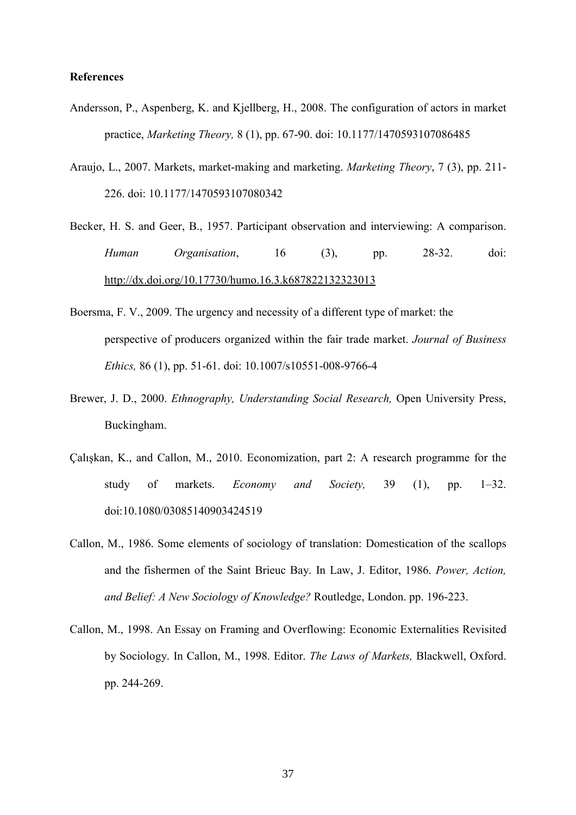### **References**

- Andersson, P., Aspenberg, K. and Kjellberg, H., 2008. The configuration of actors in market practice, *Marketing Theory,* 8 (1), pp. 67-90. doi: 10.1177/1470593107086485
- Araujo, L., 2007. Markets, market-making and marketing. *Marketing Theory*, 7 (3), pp. 211- 226. doi: 10.1177/1470593107080342
- Becker, H. S. and Geer, B., 1957. Participant observation and interviewing: A comparison. *Human Organisation*, 16 (3), pp. 28-32. doi: http://dx.doi.org/10.17730/humo.16.3.k687822132323013
- Boersma, F. V., 2009. The urgency and necessity of a different type of market: the perspective of producers organized within the fair trade market. *Journal of Business Ethics,* 86 (1), pp. 51-61. doi: 10.1007/s10551-008-9766-4
- Brewer, J. D., 2000. *Ethnography, Understanding Social Research,* Open University Press, Buckingham.
- Çalışkan, K., and Callon, M., 2010. Economization, part 2: A research programme for the study of markets. *Economy and Society,* 39 (1), pp. 1–32. doi:10.1080/03085140903424519
- Callon, M., 1986. Some elements of sociology of translation: Domestication of the scallops and the fishermen of the Saint Brieuc Bay. In Law, J. Editor, 1986. *Power, Action, and Belief: A New Sociology of Knowledge?* Routledge, London. pp. 196-223.
- Callon, M., 1998. An Essay on Framing and Overflowing: Economic Externalities Revisited by Sociology. In Callon, M., 1998. Editor. *The Laws of Markets,* Blackwell, Oxford. pp. 244-269.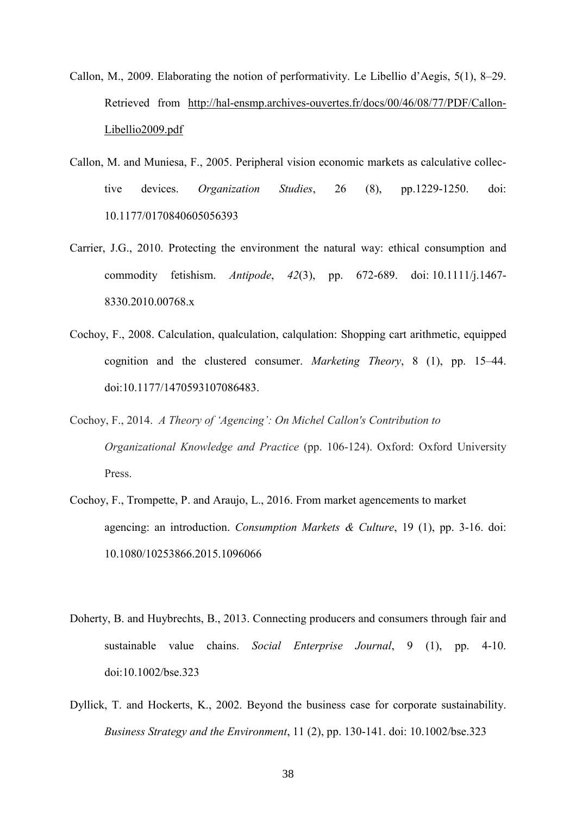- Callon, M., 2009. Elaborating the notion of performativity. Le Libellio d'Aegis, 5(1), 8–29. Retrieved from [http://hal-ensmp.archives-ouvertes.fr/docs/00/46/08/77/PDF/Callon-](http://hal-ensmp.archives-ouvertes.fr/docs/00/46/08/77/PDF/Callon-Libellio2009.pdf)[Libellio2009.pdf](http://hal-ensmp.archives-ouvertes.fr/docs/00/46/08/77/PDF/Callon-Libellio2009.pdf)
- Callon, M. and Muniesa, F., 2005. Peripheral vision economic markets as calculative collective devices. *Organization Studies*, 26 (8), pp.1229-1250. doi: 10.1177/0170840605056393
- Carrier, J.G., 2010. Protecting the environment the natural way: ethical consumption and commodity fetishism. *Antipode*, *42*(3), pp. 672-689. doi: 10.1111/j.1467- 8330.2010.00768.x
- Cochoy, F., 2008. Calculation, qualculation, calqulation: Shopping cart arithmetic, equipped cognition and the clustered consumer. *Marketing Theory*, 8 (1), pp. 15–44. doi:10.1177/1470593107086483.
- Cochoy, F., 2014. *A Theory of 'Agencing': On Michel Callon's Contribution to Organizational Knowledge and Practice* (pp. 106-124). Oxford: Oxford University Press.
- Cochoy, F., Trompette, P. and Araujo, L., 2016. From market agencements to market agencing: an introduction. *Consumption Markets & Culture*, 19 (1), pp. 3-16. doi: 10.1080/10253866.2015.1096066
- Doherty, B. and Huybrechts, B., 2013. Connecting producers and consumers through fair and sustainable value chains. *Social Enterprise Journal*, 9 (1), pp. 4-10. doi:10.1002/bse.323
- Dyllick, T. and Hockerts, K., 2002. Beyond the business case for corporate sustainability. *Business Strategy and the Environment*, 11 (2), pp. 130-141. doi: 10.1002/bse.323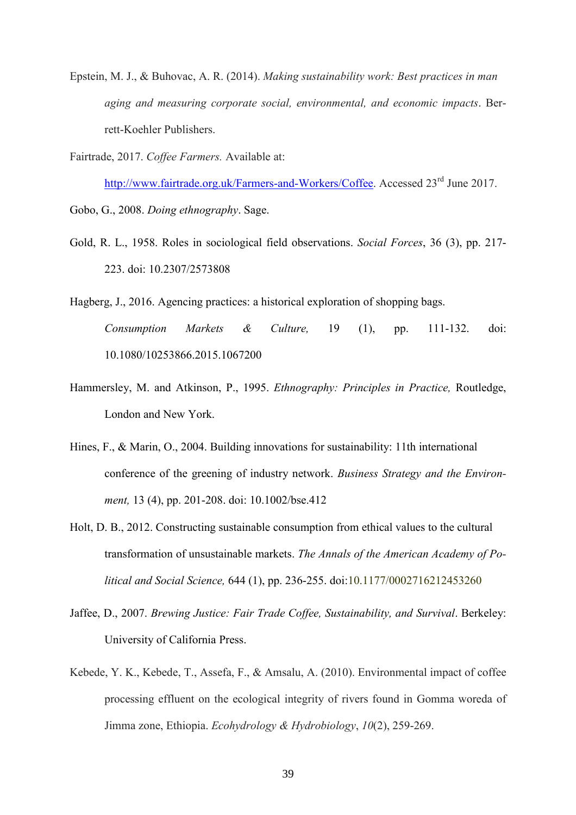- Epstein, M. J., & Buhovac, A. R. (2014). *Making sustainability work: Best practices in man aging and measuring corporate social, environmental, and economic impacts*. Berrett-Koehler Publishers.
- Fairtrade, 2017. *Coffee Farmers.* Available at:

[http://www.fairtrade.org.uk/Farmers-and-Workers/Coffee.](http://www.fairtrade.org.uk/Farmers-and-Workers/Coffee) Accessed 23<sup>rd</sup> June 2017.

Gobo, G., 2008. *Doing ethnography*. Sage.

- Gold, R. L., 1958. Roles in sociological field observations. *Social Forces*, 36 (3), pp. 217- 223. doi: 10.2307/2573808
- Hagberg, J., 2016. Agencing practices: a historical exploration of shopping bags. *Consumption Markets & Culture,* 19 (1), pp. 111-132. doi: 10.1080/10253866.2015.1067200
- Hammersley, M. and Atkinson, P., 1995. *Ethnography: Principles in Practice,* Routledge, London and New York.
- Hines, F., & Marin, O., 2004. Building innovations for sustainability: 11th international conference of the greening of industry network. *Business Strategy and the Environment,* 13 (4), pp. 201-208. doi: 10.1002/bse.412
- Holt, D. B., 2012. Constructing sustainable consumption from ethical values to the cultural transformation of unsustainable markets. *The Annals of the American Academy of Political and Social Science,* 644 (1), pp. 236-255. doi:10.1177/0002716212453260
- Jaffee, D., 2007. *Brewing Justice: Fair Trade Coffee, Sustainability, and Survival*. Berkeley: University of California Press.
- Kebede, Y. K., Kebede, T., Assefa, F., & Amsalu, A. (2010). Environmental impact of coffee processing effluent on the ecological integrity of rivers found in Gomma woreda of Jimma zone, Ethiopia. *Ecohydrology & Hydrobiology*, *10*(2), 259-269.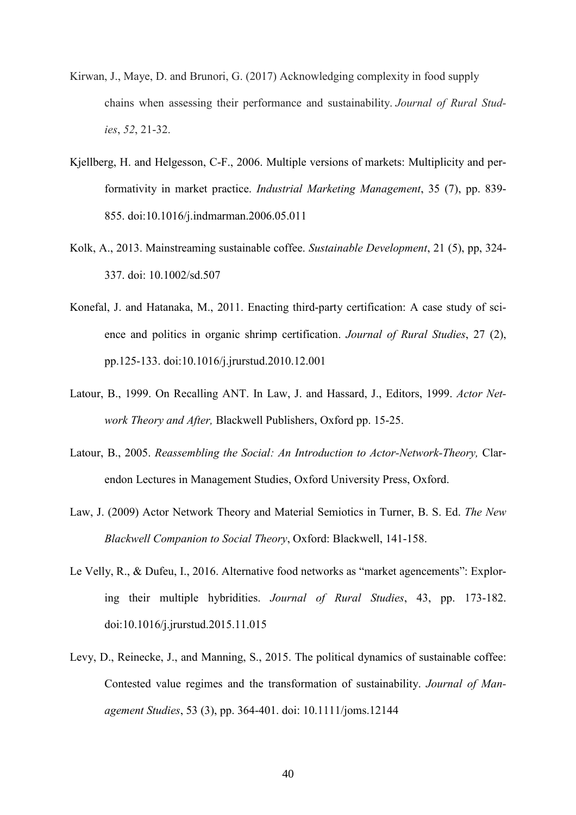- Kirwan, J., Maye, D. and Brunori, G. (2017) Acknowledging complexity in food supply chains when assessing their performance and sustainability. *Journal of Rural Studies*, *52*, 21-32.
- Kjellberg, H. and Helgesson, C-F., 2006. Multiple versions of markets: Multiplicity and performativity in market practice. *Industrial Marketing Management*, 35 (7), pp. 839- 855. [doi:10.1016/j.indmarman.2006.05.011](http://dx.doi.org/10.1016/j.indmarman.2006.05.011)
- Kolk, A., 2013. Mainstreaming sustainable coffee. *Sustainable Development*, 21 (5), pp, 324- 337. doi: 10.1002/sd.507
- Konefal, J. and Hatanaka, M., 2011. Enacting third-party certification: A case study of science and politics in organic shrimp certification. *Journal of Rural Studies*, 27 (2), pp.125-133. [doi:10.1016/j.jrurstud.2010.12.001](http://dx.doi.org/10.1016/j.jrurstud.2010.12.001)
- Latour, B., 1999. On Recalling ANT. In Law, J. and Hassard, J., Editors, 1999. *Actor Network Theory and After,* Blackwell Publishers, Oxford pp. 15-25.
- Latour, B., 2005. *Reassembling the Social: An Introduction to Actor-Network-Theory,* Clarendon Lectures in Management Studies, Oxford University Press, Oxford.
- Law, J. (2009) Actor Network Theory and Material Semiotics in Turner, B. S. Ed. *The New Blackwell Companion to Social Theory*, Oxford: Blackwell, 141-158.
- Le Velly, R., & Dufeu, I., 2016. Alternative food networks as "market agencements": Exploring their multiple hybridities. *Journal of Rural Studies*, 43, pp. 173-182. [doi:10.1016/j.jrurstud.2015.11.015](http://dx.doi.org/10.1016/j.jrurstud.2015.11.015)
- Levy, D., Reinecke, J., and Manning, S., 2015. The political dynamics of sustainable coffee: Contested value regimes and the transformation of sustainability. *Journal of Management Studies*, 53 (3), pp. 364-401. doi: 10.1111/joms.12144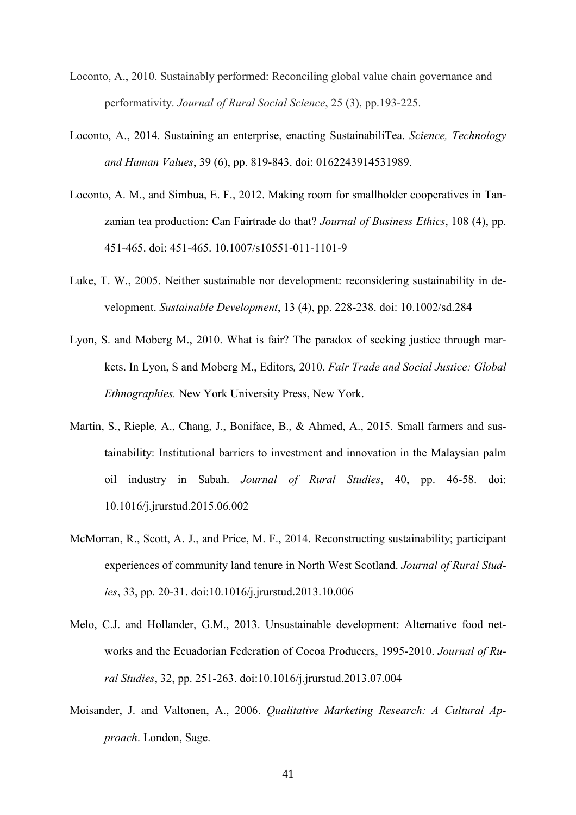- Loconto, A., 2010. Sustainably performed: Reconciling global value chain governance and performativity. *Journal of Rural Social Science*, 25 (3), pp.193-225.
- Loconto, A., 2014. Sustaining an enterprise, enacting SustainabiliTea. *Science, Technology and Human Values*, 39 (6), pp. 819-843. doi: 0162243914531989.
- Loconto, A. M., and Simbua, E. F., 2012. Making room for smallholder cooperatives in Tanzanian tea production: Can Fairtrade do that? *Journal of Business Ethics*, 108 (4), pp. 451-465. doi: 451-465. 10.1007/s10551-011-1101-9
- Luke, T. W., 2005. Neither sustainable nor development: reconsidering sustainability in development. *Sustainable Development*, 13 (4), pp. 228-238. doi: 10.1002/sd.284
- Lyon, S. and Moberg M., 2010. What is fair? The paradox of seeking justice through markets. In Lyon, S and Moberg M., Editors*,* 2010. *Fair Trade and Social Justice: Global Ethnographies.* New York University Press, New York.
- Martin, S., Rieple, A., Chang, J., Boniface, B., & Ahmed, A., 2015. Small farmers and sustainability: Institutional barriers to investment and innovation in the Malaysian palm oil industry in Sabah. *Journal of Rural Studies*, 40, pp. 46-58. [doi:](http://dx.doi.org/10.1016/j.jrurstud.2015.06.002) [10.1016/j.jrurstud.2015.06.002](http://dx.doi.org/10.1016/j.jrurstud.2015.06.002)
- McMorran, R., Scott, A. J., and Price, M. F., 2014. Reconstructing sustainability; participant experiences of community land tenure in North West Scotland. *Journal of Rural Studies*, 33, pp. 20-31. [doi:10.1016/j.jrurstud.2013.10.006](http://dx.doi.org/10.1016/j.jrurstud.2013.10.006)
- Melo, C.J. and Hollander, G.M., 2013. Unsustainable development: Alternative food networks and the Ecuadorian Federation of Cocoa Producers, 1995-2010. *Journal of Rural Studies*, 32, pp. 251-263. [doi:10.1016/j.jrurstud.2013.07.004](http://dx.doi.org/10.1016/j.jrurstud.2013.07.004)
- Moisander, J. and Valtonen, A., 2006. *Qualitative Marketing Research: A Cultural Approach*. London, Sage.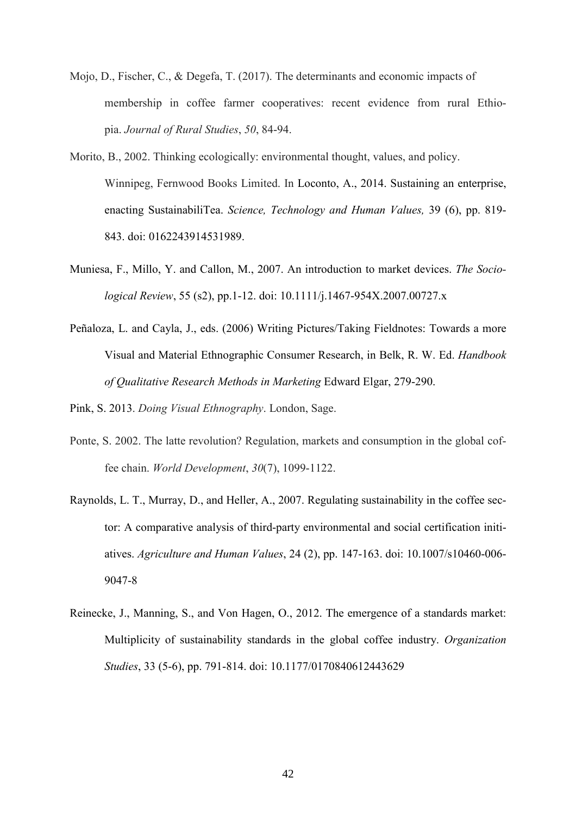- Mojo, D., Fischer, C., & Degefa, T. (2017). The determinants and economic impacts of membership in coffee farmer cooperatives: recent evidence from rural Ethiopia. *Journal of Rural Studies*, *50*, 84-94.
- Morito, B., 2002. Thinking ecologically: environmental thought, values, and policy. Winnipeg, Fernwood Books Limited. In Loconto, A., 2014. Sustaining an enterprise, enacting SustainabiliTea. *Science, Technology and Human Values,* 39 (6), pp. 819- 843. doi: 0162243914531989.
- Muniesa, F., Millo, Y. and Callon, M., 2007. An introduction to market devices. *The Sociological Review*, 55 (s2), pp.1-12. doi: 10.1111/j.1467-954X.2007.00727.x
- Peñaloza, L. and Cayla, J., eds. (2006) Writing Pictures/Taking Fieldnotes: Towards a more Visual and Material Ethnographic Consumer Research, in Belk, R. W. Ed. *Handbook of Qualitative Research Methods in Marketing* Edward Elgar, 279-290.

Pink, S. 2013. *Doing Visual Ethnography*. London, Sage.

- Ponte, S. 2002. The latte revolution? Regulation, markets and consumption in the global coffee chain. *World Development*, *30*(7), 1099-1122.
- Raynolds, L. T., Murray, D., and Heller, A., 2007. Regulating sustainability in the coffee sector: A comparative analysis of third-party environmental and social certification initiatives. *Agriculture and Human Values*, 24 (2), pp. 147-163. doi: 10.1007/s10460-006- 9047-8
- Reinecke, J., Manning, S., and Von Hagen, O., 2012. The emergence of a standards market: Multiplicity of sustainability standards in the global coffee industry. *Organization Studies*, 33 (5-6), pp. 791-814. doi: 10.1177/0170840612443629